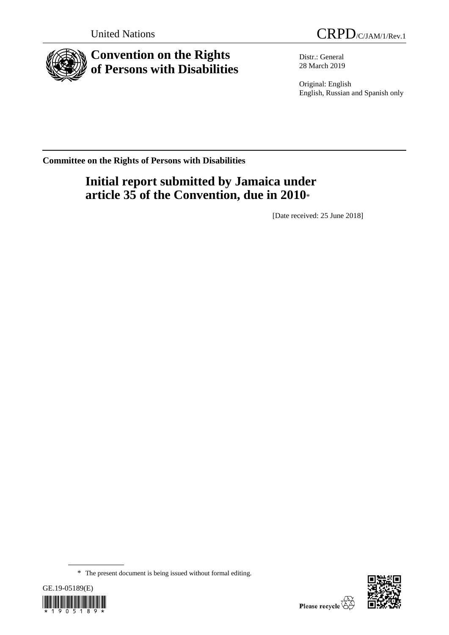

# **Convention on the Rights of Persons with Disabilities**

Distr.: General 28 March 2019

Original: English English, Russian and Spanish only

**Committee on the Rights of Persons with Disabilities**

# **Initial report submitted by Jamaica under article 35 of the Convention, due in 2010**\*

[Date received: 25 June 2018]

<sup>\*</sup> The present document is being issued without formal editing.



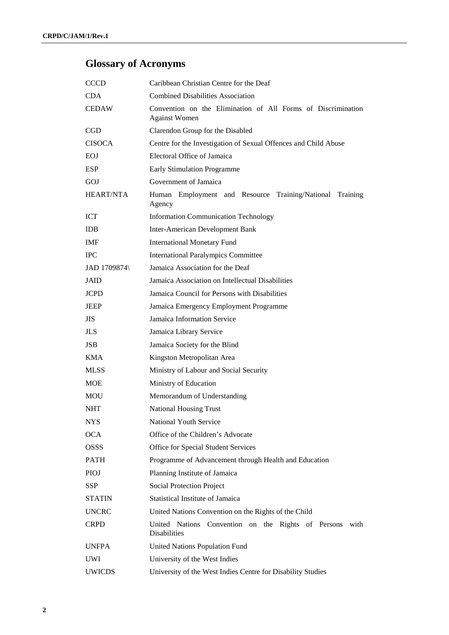# **Glossary of Acronyms**

| <b>CCCD</b>         | Caribbean Christian Centre for the Deaf                                              |  |
|---------------------|--------------------------------------------------------------------------------------|--|
| CDA.                | <b>Combined Disabilities Association</b>                                             |  |
| <b>CEDAW</b>        | Convention on the Elimination of All Forms of Discrimination<br><b>Against Women</b> |  |
| CGD                 | Clarendon Group for the Disabled                                                     |  |
| <b>CISOCA</b>       | Centre for the Investigation of Sexual Offences and Child Abuse                      |  |
| <b>EOJ</b>          | Electoral Office of Jamaica                                                          |  |
| <b>ESP</b>          | <b>Early Stimulation Programme</b>                                                   |  |
| GOJ                 | Government of Jamaica                                                                |  |
| <b>HEART/NTA</b>    | Human Employment and Resource Training/National Training<br>Agency                   |  |
| <b>ICT</b>          | <b>Information Communication Technology</b>                                          |  |
| <b>IDB</b>          | <b>Inter-American Development Bank</b>                                               |  |
| <b>IMF</b>          | <b>International Monetary Fund</b>                                                   |  |
| <b>IPC</b>          | <b>International Paralympics Committee</b>                                           |  |
| <b>JAD 1709874\</b> | Jamaica Association for the Deaf                                                     |  |
| JAID                | Jamaica Association on Intellectual Disabilities                                     |  |
| <b>JCPD</b>         | Jamaica Council for Persons with Disabilities                                        |  |
| JEEP                | Jamaica Emergency Employment Programme                                               |  |
| JIS.                | Jamaica Information Service                                                          |  |
| <b>JLS</b>          | Jamaica Library Service                                                              |  |
| <b>JSB</b>          | Jamaica Society for the Blind                                                        |  |
| <b>KMA</b>          | Kingston Metropolitan Area                                                           |  |
| <b>MLSS</b>         | Ministry of Labour and Social Security                                               |  |
| <b>MOE</b>          | Ministry of Education                                                                |  |
| MOU                 | Memorandum of Understanding                                                          |  |
| <b>NHT</b>          | <b>National Housing Trust</b>                                                        |  |
| <b>NYS</b>          | <b>National Youth Service</b>                                                        |  |
| <b>OCA</b>          | Office of the Children's Advocate                                                    |  |
| OSSS                | Office for Special Student Services                                                  |  |
| <b>PATH</b>         | Programme of Advancement through Health and Education                                |  |
| <b>PIOJ</b>         | Planning Institute of Jamaica                                                        |  |
| SSP                 | Social Protection Project                                                            |  |
| <b>STATIN</b>       | Statistical Institute of Jamaica                                                     |  |
| <b>UNCRC</b>        | United Nations Convention on the Rights of the Child                                 |  |
| <b>CRPD</b>         | United Nations Convention on the Rights of Persons<br>with<br>Disabilities           |  |
| <b>UNFPA</b>        | United Nations Population Fund                                                       |  |
| UWI                 | University of the West Indies                                                        |  |
| <b>UWICDS</b>       | University of the West Indies Centre for Disability Studies                          |  |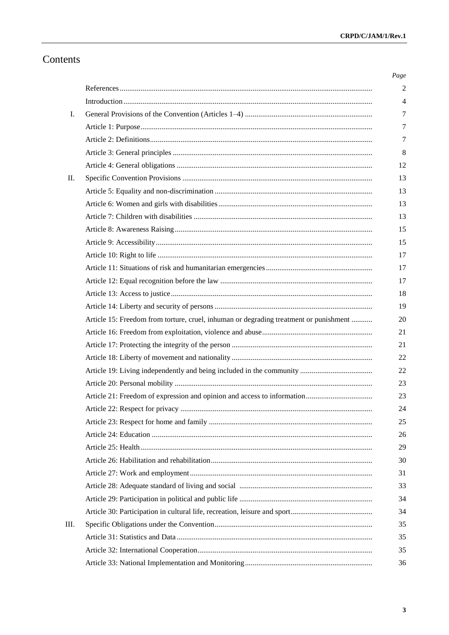# Contents

| Ι. |                                                                                       |
|----|---------------------------------------------------------------------------------------|
|    |                                                                                       |
|    |                                                                                       |
|    |                                                                                       |
|    |                                                                                       |
| П. |                                                                                       |
|    |                                                                                       |
|    |                                                                                       |
|    |                                                                                       |
|    |                                                                                       |
|    |                                                                                       |
|    |                                                                                       |
|    |                                                                                       |
|    |                                                                                       |
|    |                                                                                       |
|    |                                                                                       |
|    | Article 15: Freedom from torture, cruel, inhuman or degrading treatment or punishment |
|    |                                                                                       |
|    |                                                                                       |
|    |                                                                                       |
|    |                                                                                       |
|    |                                                                                       |
|    |                                                                                       |
|    |                                                                                       |
|    |                                                                                       |
|    |                                                                                       |
|    |                                                                                       |
|    |                                                                                       |
|    |                                                                                       |
|    |                                                                                       |
|    |                                                                                       |
|    |                                                                                       |
| Ш. |                                                                                       |
|    |                                                                                       |
|    |                                                                                       |
|    |                                                                                       |
|    |                                                                                       |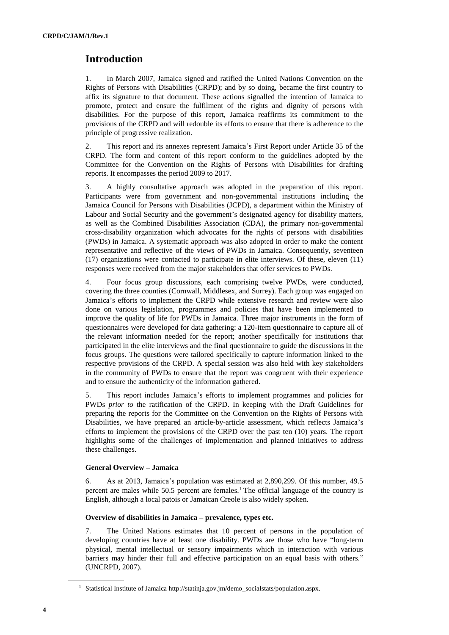# **Introduction**

1. In March 2007, Jamaica signed and ratified the United Nations Convention on the Rights of Persons with Disabilities (CRPD); and by so doing, became the first country to affix its signature to that document. These actions signalled the intention of Jamaica to promote, protect and ensure the fulfilment of the rights and dignity of persons with disabilities. For the purpose of this report, Jamaica reaffirms its commitment to the provisions of the CRPD and will redouble its efforts to ensure that there is adherence to the principle of progressive realization.

2. This report and its annexes represent Jamaica's First Report under Article 35 of the CRPD. The form and content of this report conform to the guidelines adopted by the Committee for the Convention on the Rights of Persons with Disabilities for drafting reports. It encompasses the period 2009 to 2017.

3. A highly consultative approach was adopted in the preparation of this report. Participants were from government and non-governmental institutions including the Jamaica Council for Persons with Disabilities (JCPD), a department within the Ministry of Labour and Social Security and the government's designated agency for disability matters, as well as the Combined Disabilities Association (CDA), the primary non-governmental cross-disability organization which advocates for the rights of persons with disabilities (PWDs) in Jamaica. A systematic approach was also adopted in order to make the content representative and reflective of the views of PWDs in Jamaica. Consequently, seventeen (17) organizations were contacted to participate in elite interviews. Of these, eleven (11) responses were received from the major stakeholders that offer services to PWDs.

4. Four focus group discussions, each comprising twelve PWDs, were conducted, covering the three counties (Cornwall, Middlesex, and Surrey). Each group was engaged on Jamaica's efforts to implement the CRPD while extensive research and review were also done on various legislation, programmes and policies that have been implemented to improve the quality of life for PWDs in Jamaica. Three major instruments in the form of questionnaires were developed for data gathering: a 120-item questionnaire to capture all of the relevant information needed for the report; another specifically for institutions that participated in the elite interviews and the final questionnaire to guide the discussions in the focus groups. The questions were tailored specifically to capture information linked to the respective provisions of the CRPD. A special session was also held with key stakeholders in the community of PWDs to ensure that the report was congruent with their experience and to ensure the authenticity of the information gathered.

5. This report includes Jamaica's efforts to implement programmes and policies for PWDs *prior to* the ratification of the CRPD. In keeping with the Draft Guidelines for preparing the reports for the Committee on the Convention on the Rights of Persons with Disabilities, we have prepared an article-by-article assessment, which reflects Jamaica's efforts to implement the provisions of the CRPD over the past ten (10) years. The report highlights some of the challenges of implementation and planned initiatives to address these challenges.

#### **General Overview – Jamaica**

6. As at 2013, Jamaica's population was estimated at 2,890,299. Of this number, 49.5 percent are males while 50.5 percent are females.<sup>1</sup> The official language of the country is English, although a local patois or Jamaican Creole is also widely spoken.

#### **Overview of disabilities in Jamaica – prevalence, types etc.**

7. The United Nations estimates that 10 percent of persons in the population of developing countries have at least one disability. PWDs are those who have "long-term physical, mental intellectual or sensory impairments which in interaction with various barriers may hinder their full and effective participation on an equal basis with others." (UNCRPD, 2007).

<sup>&</sup>lt;sup>1</sup> Statistical Institute of Jamaica [http://statinja.gov.jm/demo\\_socialstats/population.aspx.](http://statinja.gov.jm/demo_socialstats/population.aspx)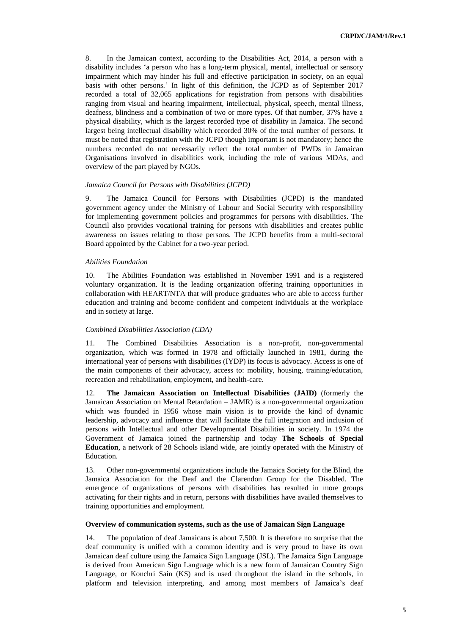8. In the Jamaican context, according to the Disabilities Act, 2014, a person with a disability includes 'a person who has a long-term physical, mental, intellectual or sensory impairment which may hinder his full and effective participation in society, on an equal basis with other persons.' In light of this definition, the JCPD as of September 2017 recorded a total of 32,065 applications for registration from persons with disabilities ranging from visual and hearing impairment, intellectual, physical, speech, mental illness, deafness, blindness and a combination of two or more types. Of that number, 37% have a physical disability, which is the largest recorded type of disability in Jamaica. The second largest being intellectual disability which recorded 30% of the total number of persons. It must be noted that registration with the JCPD though important is not mandatory; hence the numbers recorded do not necessarily reflect the total number of PWDs in Jamaican Organisations involved in disabilities work, including the role of various MDAs, and overview of the part played by NGOs.

#### *Jamaica Council for Persons with Disabilities (JCPD)*

9. The Jamaica Council for Persons with Disabilities (JCPD) is the mandated government agency under the Ministry of Labour and Social Security with responsibility for implementing government policies and programmes for persons with disabilities. The Council also provides vocational training for persons with disabilities and creates public awareness on issues relating to those persons. The JCPD benefits from a multi-sectoral Board appointed by the Cabinet for a two-year period.

#### *Abilities Foundation*

10. The Abilities Foundation was established in November 1991 and is a registered voluntary organization. It is the leading organization offering training opportunities in collaboration with HEART/NTA that will produce graduates who are able to access further education and training and become confident and competent individuals at the workplace and in society at large.

#### *Combined Disabilities Association (CDA)*

11. The Combined Disabilities Association is a non-profit, non-governmental organization, which was formed in 1978 and officially launched in 1981, during the international year of persons with disabilities (IYDP) its focus is advocacy. Access is one of the main components of their advocacy, access to: mobility, housing, training/education, recreation and rehabilitation, employment, and health-care.

12. **The Jamaican Association on Intellectual Disabilities (JAID)** (formerly the Jamaican Association on Mental Retardation – JAMR) is a non-governmental organization which was founded in 1956 whose main vision is to provide the kind of dynamic leadership, advocacy and influence that will facilitate the full integration and inclusion of persons with Intellectual and other Developmental Disabilities in society. In 1974 the Government of Jamaica joined the partnership and today **The Schools of Special Education**, a network of 28 Schools island wide, are jointly operated with the Ministry of Education.

13. Other non-governmental organizations include the Jamaica Society for the Blind, the Jamaica Association for the Deaf and the Clarendon Group for the Disabled. The emergence of organizations of persons with disabilities has resulted in more groups activating for their rights and in return, persons with disabilities have availed themselves to training opportunities and employment.

#### **Overview of communication systems, such as the use of Jamaican Sign Language**

14. The population of deaf Jamaicans is about 7,500. It is therefore no surprise that the deaf community is unified with a common identity and is very proud to have its own Jamaican deaf culture using the Jamaica Sign Language (JSL). The Jamaica Sign Language is derived from American Sign Language which is a new form of Jamaican Country Sign Language, or Konchri Sain (KS) and is used throughout the island in the schools, in platform and television interpreting, and among most members of Jamaica's deaf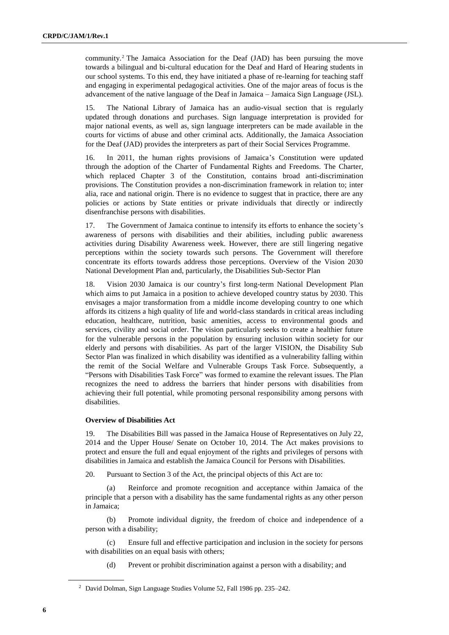community.<sup>2</sup> The Jamaica Association for the Deaf (JAD) has been pursuing the move towards a bilingual and bi-cultural education for the Deaf and Hard of Hearing students in our school systems. To this end, they have initiated a phase of re-learning for teaching staff and engaging in experimental pedagogical activities. One of the major areas of focus is the advancement of the native language of the Deaf in Jamaica – Jamaica Sign Language (JSL).

15. The National Library of Jamaica has an audio-visual section that is regularly updated through donations and purchases. Sign language interpretation is provided for major national events, as well as, sign language interpreters can be made available in the courts for victims of abuse and other criminal acts. Additionally, the Jamaica Association for the Deaf (JAD) provides the interpreters as part of their Social Services Programme.

16. In 2011, the human rights provisions of Jamaica's Constitution were updated through the adoption of the Charter of Fundamental Rights and Freedoms. The Charter, which replaced Chapter 3 of the Constitution, contains broad anti-discrimination provisions. The Constitution provides a non-discrimination framework in relation to; inter alia, race and national origin. There is no evidence to suggest that in practice, there are any policies or actions by State entities or private individuals that directly or indirectly disenfranchise persons with disabilities.

17. The Government of Jamaica continue to intensify its efforts to enhance the society's awareness of persons with disabilities and their abilities, including public awareness activities during Disability Awareness week. However, there are still lingering negative perceptions within the society towards such persons. The Government will therefore concentrate its efforts towards address those perceptions. Overview of the Vision 2030 National Development Plan and, particularly, the Disabilities Sub-Sector Plan

18. Vision 2030 Jamaica is our country's first long-term National Development Plan which aims to put Jamaica in a position to achieve developed country status by 2030. This envisages a major transformation from a middle income developing country to one which affords its citizens a high quality of life and world-class standards in critical areas including education, healthcare, nutrition, basic amenities, access to environmental goods and services, civility and social order. The vision particularly seeks to create a healthier future for the vulnerable persons in the population by ensuring inclusion within society for our elderly and persons with disabilities. As part of the larger VISION, the Disability Sub Sector Plan was finalized in which disability was identified as a vulnerability falling within the remit of the Social Welfare and Vulnerable Groups Task Force. Subsequently, a "Persons with Disabilities Task Force" was formed to examine the relevant issues. The Plan recognizes the need to address the barriers that hinder persons with disabilities from achieving their full potential, while promoting personal responsibility among persons with disabilities.

#### **Overview of Disabilities Act**

19. The Disabilities Bill was passed in the Jamaica House of Representatives on July 22, 2014 and the Upper House/ Senate on October 10, 2014. The Act makes provisions to protect and ensure the full and equal enjoyment of the rights and privileges of persons with disabilities in Jamaica and establish the Jamaica Council for Persons with Disabilities.

20. Pursuant to Section 3 of the Act, the principal objects of this Act are to:

Reinforce and promote recognition and acceptance within Jamaica of the principle that a person with a disability has the same fundamental rights as any other person in Jamaica;

(b) Promote individual dignity, the freedom of choice and independence of a person with a disability;

(c) Ensure full and effective participation and inclusion in the society for persons with disabilities on an equal basis with others;

(d) Prevent or prohibit discrimination against a person with a disability; and

<sup>2</sup> David Dolman, Sign Language Studies Volume 52, Fall 1986 pp. 235–242.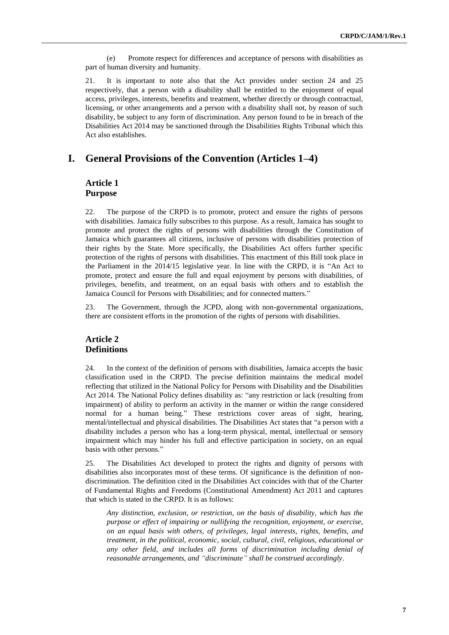(e) Promote respect for differences and acceptance of persons with disabilities as part of human diversity and humanity.

21. It is important to note also that the Act provides under section 24 and 25 respectively, that a person with a disability shall be entitled to the enjoyment of equal access, privileges, interests, benefits and treatment, whether directly or through contractual, licensing, or other arrangements and a person with a disability shall not, by reason of such disability, be subject to any form of discrimination. Any person found to be in breach of the Disabilities Act 2014 may be sanctioned through the Disabilities Rights Tribunal which this Act also establishes.

# **I. General Provisions of the Convention (Articles 1–4)**

#### **Article 1 Purpose**

22. The purpose of the CRPD is to promote, protect and ensure the rights of persons with disabilities. Jamaica fully subscribes to this purpose. As a result, Jamaica has sought to promote and protect the rights of persons with disabilities through the Constitution of Jamaica which guarantees all citizens, inclusive of persons with disabilities protection of their rights by the State. More specifically, the Disabilities Act offers further specific protection of the rights of persons with disabilities. This enactment of this Bill took place in the Parliament in the 2014/15 legislative year. In line with the CRPD, it is "An Act to promote, protect and ensure the full and equal enjoyment by persons with disabilities, of privileges, benefits, and treatment, on an equal basis with others and to establish the Jamaica Council for Persons with Disabilities; and for connected matters."

23. The Government, through the JCPD, along with non-governmental organizations, there are consistent efforts in the promotion of the rights of persons with disabilities.

## **Article 2 Definitions**

24. In the context of the definition of persons with disabilities, Jamaica accepts the basic classification used in the CRPD. The precise definition maintains the medical model reflecting that utilized in the National Policy for Persons with Disability and the Disabilities Act 2014. The National Policy defines disability as: "any restriction or lack (resulting from impairment) of ability to perform an activity in the manner or within the range considered normal for a human being." These restrictions cover areas of sight, hearing, mental/intellectual and physical disabilities. The Disabilities Act states that "a person with a disability includes a person who has a long-term physical, mental, intellectual or sensory impairment which may hinder his full and effective participation in society, on an equal basis with other persons."

25. The Disabilities Act developed to protect the rights and dignity of persons with disabilities also incorporates most of these terms. Of significance is the definition of nondiscrimination. The definition cited in the Disabilities Act coincides with that of the Charter of Fundamental Rights and Freedoms (Constitutional Amendment) Act 2011 and captures that which is stated in the CRPD. It is as follows:

*Any distinction, exclusion, or restriction, on the basis of disability, which has the purpose or effect of impairing or nullifying the recognition, enjoyment, or exercise, on an equal basis with others, of privileges, legal interests, rights, benefits, and treatment, in the political, economic, social, cultural, civil, religious, educational or any other field, and includes all forms of discrimination including denial of reasonable arrangements, and "discriminate" shall be construed accordingly*.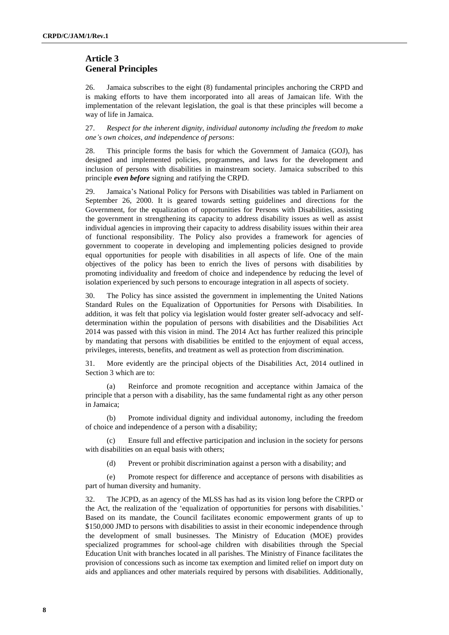# **Article 3 General Principles**

26. Jamaica subscribes to the eight (8) fundamental principles anchoring the CRPD and is making efforts to have them incorporated into all areas of Jamaican life. With the implementation of the relevant legislation, the goal is that these principles will become a way of life in Jamaica.

27. *Respect for the inherent dignity, individual autonomy including the freedom to make one's own choices, and independence of persons*:

28. This principle forms the basis for which the Government of Jamaica (GOJ), has designed and implemented policies, programmes, and laws for the development and inclusion of persons with disabilities in mainstream society. Jamaica subscribed to this principle *even before* signing and ratifying the CRPD.

29. Jamaica's National Policy for Persons with Disabilities was tabled in Parliament on September 26, 2000. It is geared towards setting guidelines and directions for the Government, for the equalization of opportunities for Persons with Disabilities, assisting the government in strengthening its capacity to address disability issues as well as assist individual agencies in improving their capacity to address disability issues within their area of functional responsibility. The Policy also provides a framework for agencies of government to cooperate in developing and implementing policies designed to provide equal opportunities for people with disabilities in all aspects of life. One of the main objectives of the policy has been to enrich the lives of persons with disabilities by promoting individuality and freedom of choice and independence by reducing the level of isolation experienced by such persons to encourage integration in all aspects of society.

30. The Policy has since assisted the government in implementing the United Nations Standard Rules on the Equalization of Opportunities for Persons with Disabilities. In addition, it was felt that policy via legislation would foster greater self-advocacy and selfdetermination within the population of persons with disabilities and the Disabilities Act 2014 was passed with this vision in mind. The 2014 Act has further realized this principle by mandating that persons with disabilities be entitled to the enjoyment of equal access, privileges, interests, benefits, and treatment as well as protection from discrimination.

31. More evidently are the principal objects of the Disabilities Act, 2014 outlined in Section 3 which are to:

(a) Reinforce and promote recognition and acceptance within Jamaica of the principle that a person with a disability, has the same fundamental right as any other person in Jamaica;

(b) Promote individual dignity and individual autonomy, including the freedom of choice and independence of a person with a disability;

(c) Ensure full and effective participation and inclusion in the society for persons with disabilities on an equal basis with others;

(d) Prevent or prohibit discrimination against a person with a disability; and

(e) Promote respect for difference and acceptance of persons with disabilities as part of human diversity and humanity.

32. The JCPD, as an agency of the MLSS has had as its vision long before the CRPD or the Act, the realization of the 'equalization of opportunities for persons with disabilities.' Based on its mandate, the Council facilitates economic empowerment grants of up to \$150,000 JMD to persons with disabilities to assist in their economic independence through the development of small businesses. The Ministry of Education (MOE) provides specialized programmes for school-age children with disabilities through the Special Education Unit with branches located in all parishes. The Ministry of Finance facilitates the provision of concessions such as income tax exemption and limited relief on import duty on aids and appliances and other materials required by persons with disabilities. Additionally,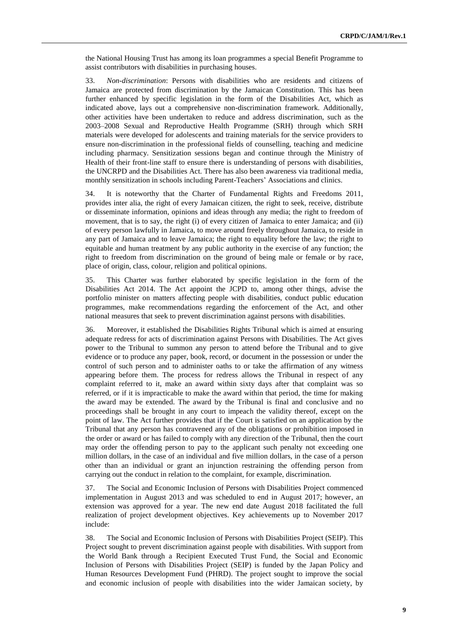the National Housing Trust has among its loan programmes a special Benefit Programme to assist contributors with disabilities in purchasing houses.

33. *Non-discrimination*: Persons with disabilities who are residents and citizens of Jamaica are protected from discrimination by the Jamaican Constitution. This has been further enhanced by specific legislation in the form of the Disabilities Act, which as indicated above, lays out a comprehensive non-discrimination framework. Additionally, other activities have been undertaken to reduce and address discrimination, such as the 2003–2008 Sexual and Reproductive Health Programme (SRH) through which SRH materials were developed for adolescents and training materials for the service providers to ensure non-discrimination in the professional fields of counselling, teaching and medicine including pharmacy. Sensitization sessions began and continue through the Ministry of Health of their front-line staff to ensure there is understanding of persons with disabilities, the UNCRPD and the Disabilities Act. There has also been awareness via traditional media, monthly sensitization in schools including Parent-Teachers' Associations and clinics.

34. It is noteworthy that the Charter of Fundamental Rights and Freedoms 2011, provides inter alia, the right of every Jamaican citizen, the right to seek, receive, distribute or disseminate information, opinions and ideas through any media; the right to freedom of movement, that is to say, the right (i) of every citizen of Jamaica to enter Jamaica; and (ii) of every person lawfully in Jamaica, to move around freely throughout Jamaica, to reside in any part of Jamaica and to leave Jamaica; the right to equality before the law; the right to equitable and human treatment by any public authority in the exercise of any function; the right to freedom from discrimination on the ground of being male or female or by race, place of origin, class, colour, religion and political opinions.

35. This Charter was further elaborated by specific legislation in the form of the Disabilities Act 2014. The Act appoint the JCPD to, among other things, advise the portfolio minister on matters affecting people with disabilities, conduct public education programmes, make recommendations regarding the enforcement of the Act, and other national measures that seek to prevent discrimination against persons with disabilities.

36. Moreover, it established the Disabilities Rights Tribunal which is aimed at ensuring adequate redress for acts of discrimination against Persons with Disabilities. The Act gives power to the Tribunal to summon any person to attend before the Tribunal and to give evidence or to produce any paper, book, record, or document in the possession or under the control of such person and to administer oaths to or take the affirmation of any witness appearing before them. The process for redress allows the Tribunal in respect of any complaint referred to it, make an award within sixty days after that complaint was so referred, or if it is impracticable to make the award within that period, the time for making the award may be extended. The award by the Tribunal is final and conclusive and no proceedings shall be brought in any court to impeach the validity thereof, except on the point of law. The Act further provides that if the Court is satisfied on an application by the Tribunal that any person has contravened any of the obligations or prohibition imposed in the order or award or has failed to comply with any direction of the Tribunal, then the court may order the offending person to pay to the applicant such penalty not exceeding one million dollars, in the case of an individual and five million dollars, in the case of a person other than an individual or grant an injunction restraining the offending person from carrying out the conduct in relation to the complaint, for example, discrimination.

37. The Social and Economic Inclusion of Persons with Disabilities Project commenced implementation in August 2013 and was scheduled to end in August 2017; however, an extension was approved for a year. The new end date August 2018 facilitated the full realization of project development objectives. Key achievements up to November 2017 include:

38. The Social and Economic Inclusion of Persons with Disabilities Project (SEIP). This Project sought to prevent discrimination against people with disabilities. With support from the World Bank through a Recipient Executed Trust Fund, the Social and Economic Inclusion of Persons with Disabilities Project (SEIP) is funded by the Japan Policy and Human Resources Development Fund (PHRD). The project sought to improve the social and economic inclusion of people with disabilities into the wider Jamaican society, by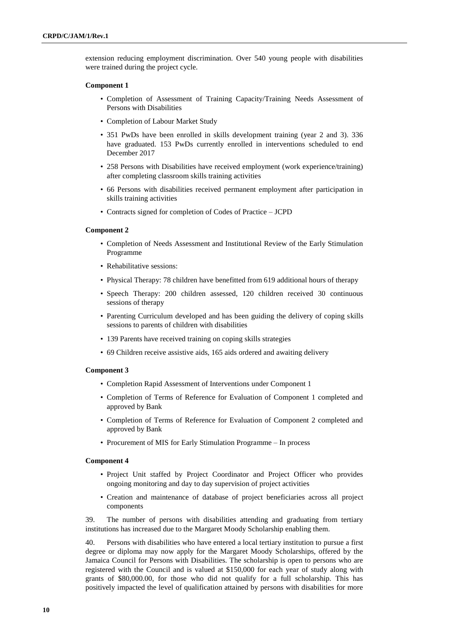extension reducing employment discrimination. Over 540 young people with disabilities were trained during the project cycle.

#### **Component 1**

- Completion of Assessment of Training Capacity/Training Needs Assessment of Persons with Disabilities
- Completion of Labour Market Study
- 351 PwDs have been enrolled in skills development training (year 2 and 3). 336 have graduated. 153 PwDs currently enrolled in interventions scheduled to end December 2017
- 258 Persons with Disabilities have received employment (work experience/training) after completing classroom skills training activities
- 66 Persons with disabilities received permanent employment after participation in skills training activities
- Contracts signed for completion of Codes of Practice JCPD

#### **Component 2**

- Completion of Needs Assessment and Institutional Review of the Early Stimulation Programme
- Rehabilitative sessions:
- Physical Therapy: 78 children have benefitted from 619 additional hours of therapy
- Speech Therapy: 200 children assessed, 120 children received 30 continuous sessions of therapy
- Parenting Curriculum developed and has been guiding the delivery of coping skills sessions to parents of children with disabilities
- 139 Parents have received training on coping skills strategies
- 69 Children receive assistive aids, 165 aids ordered and awaiting delivery

#### **Component 3**

- Completion Rapid Assessment of Interventions under Component 1
- Completion of Terms of Reference for Evaluation of Component 1 completed and approved by Bank
- Completion of Terms of Reference for Evaluation of Component 2 completed and approved by Bank
- Procurement of MIS for Early Stimulation Programme In process

#### **Component 4**

- Project Unit staffed by Project Coordinator and Project Officer who provides ongoing monitoring and day to day supervision of project activities
- Creation and maintenance of database of project beneficiaries across all project components

39. The number of persons with disabilities attending and graduating from tertiary institutions has increased due to the Margaret Moody Scholarship enabling them.

40. Persons with disabilities who have entered a local tertiary institution to pursue a first degree or diploma may now apply for the Margaret Moody Scholarships, offered by the Jamaica Council for Persons with Disabilities. The scholarship is open to persons who are registered with the Council and is valued at \$150,000 for each year of study along with grants of \$80,000.00, for those who did not qualify for a full scholarship. This has positively impacted the level of qualification attained by persons with disabilities for more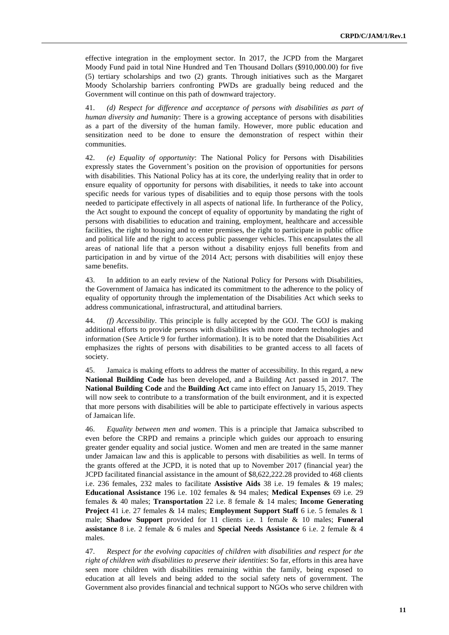effective integration in the employment sector. In 2017, the JCPD from the Margaret Moody Fund paid in total Nine Hundred and Ten Thousand Dollars (\$910,000.00) for five (5) tertiary scholarships and two (2) grants. Through initiatives such as the Margaret Moody Scholarship barriers confronting PWDs are gradually being reduced and the Government will continue on this path of downward trajectory.

41. *(d) Respect for difference and acceptance of persons with disabilities as part of human diversity and humanity*: There is a growing acceptance of persons with disabilities as a part of the diversity of the human family. However, more public education and sensitization need to be done to ensure the demonstration of respect within their communities.

42. *(e) Equality of opportunity*: The National Policy for Persons with Disabilities expressly states the Government's position on the provision of opportunities for persons with disabilities. This National Policy has at its core, the underlying reality that in order to ensure equality of opportunity for persons with disabilities, it needs to take into account specific needs for various types of disabilities and to equip those persons with the tools needed to participate effectively in all aspects of national life. In furtherance of the Policy, the Act sought to expound the concept of equality of opportunity by mandating the right of persons with disabilities to education and training, employment, healthcare and accessible facilities, the right to housing and to enter premises, the right to participate in public office and political life and the right to access public passenger vehicles. This encapsulates the all areas of national life that a person without a disability enjoys full benefits from and participation in and by virtue of the 2014 Act; persons with disabilities will enjoy these same benefits.

43. In addition to an early review of the National Policy for Persons with Disabilities, the Government of Jamaica has indicated its commitment to the adherence to the policy of equality of opportunity through the implementation of the Disabilities Act which seeks to address communicational, infrastructural, and attitudinal barriers.

44. *(f) Accessibility*. This principle is fully accepted by the GOJ. The GOJ is making additional efforts to provide persons with disabilities with more modern technologies and information (See Article 9 for further information). It is to be noted that the Disabilities Act emphasizes the rights of persons with disabilities to be granted access to all facets of society.

45. Jamaica is making efforts to address the matter of accessibility. In this regard, a new **National Building Code** has been developed, and a Building Act passed in 2017. The **National Building Code** and the **Building Act** came into effect on January 15, 2019. They will now seek to contribute to a transformation of the built environment, and it is expected that more persons with disabilities will be able to participate effectively in various aspects of Jamaican life.

46. *Equality between men and women*. This is a principle that Jamaica subscribed to even before the CRPD and remains a principle which guides our approach to ensuring greater gender equality and social justice. Women and men are treated in the same manner under Jamaican law and this is applicable to persons with disabilities as well. In terms of the grants offered at the JCPD, it is noted that up to November 2017 (financial year) the JCPD facilitated financial assistance in the amount of \$8,622,222.28 provided to 468 clients i.e. 236 females, 232 males to facilitate **Assistive Aids** 38 i.e. 19 females & 19 males; **Educational Assistance** 196 i.e. 102 females & 94 males; **Medical Expenses** 69 i.e. 29 females & 40 males; **Transportation** 22 i.e. 8 female & 14 males; **Income Generating Project** 41 i.e. 27 females & 14 males; **Employment Support Staff** 6 i.e. 5 females & 1 male; **Shadow Support** provided for 11 clients i.e. 1 female & 10 males; **Funeral assistance** 8 i.e. 2 female & 6 males and **Special Needs Assistance** 6 i.e. 2 female & 4 males.

47. *Respect for the evolving capacities of children with disabilities and respect for the right of children with disabilities to preserve their identities*: So far, efforts in this area have seen more children with disabilities remaining within the family, being exposed to education at all levels and being added to the social safety nets of government. The Government also provides financial and technical support to NGOs who serve children with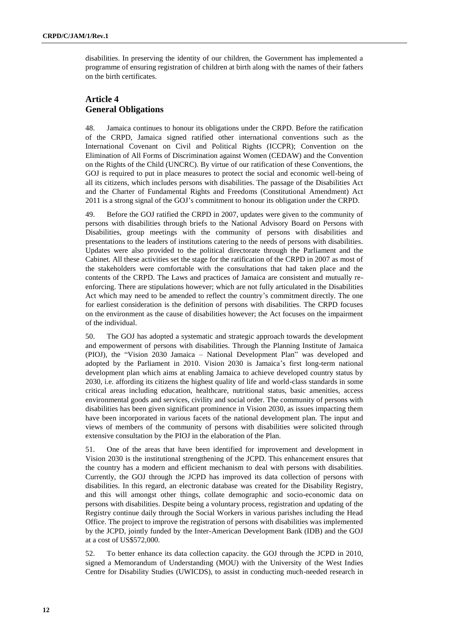disabilities. In preserving the identity of our children, the Government has implemented a programme of ensuring registration of children at birth along with the names of their fathers on the birth certificates.

# **Article 4 General Obligations**

48. Jamaica continues to honour its obligations under the CRPD. Before the ratification of the CRPD, Jamaica signed ratified other international conventions such as the International Covenant on Civil and Political Rights (ICCPR); Convention on the Elimination of All Forms of Discrimination against Women (CEDAW) and the Convention on the Rights of the Child (UNCRC). By virtue of our ratification of these Conventions, the GOJ is required to put in place measures to protect the social and economic well-being of all its citizens, which includes persons with disabilities. The passage of the Disabilities Act and the Charter of Fundamental Rights and Freedoms (Constitutional Amendment) Act 2011 is a strong signal of the GOJ's commitment to honour its obligation under the CRPD.

49. Before the GOJ ratified the CRPD in 2007, updates were given to the community of persons with disabilities through briefs to the National Advisory Board on Persons with Disabilities, group meetings with the community of persons with disabilities and presentations to the leaders of institutions catering to the needs of persons with disabilities. Updates were also provided to the political directorate through the Parliament and the Cabinet. All these activities set the stage for the ratification of the CRPD in 2007 as most of the stakeholders were comfortable with the consultations that had taken place and the contents of the CRPD. The Laws and practices of Jamaica are consistent and mutually reenforcing. There are stipulations however; which are not fully articulated in the Disabilities Act which may need to be amended to reflect the country's commitment directly. The one for earliest consideration is the definition of persons with disabilities. The CRPD focuses on the environment as the cause of disabilities however; the Act focuses on the impairment of the individual.

50. The GOJ has adopted a systematic and strategic approach towards the development and empowerment of persons with disabilities. Through the Planning Institute of Jamaica (PIOJ), the "Vision 2030 Jamaica – National Development Plan" was developed and adopted by the Parliament in 2010. Vision 2030 is Jamaica's first long-term national development plan which aims at enabling Jamaica to achieve developed country status by 2030, i.e. affording its citizens the highest quality of life and world-class standards in some critical areas including education, healthcare, nutritional status, basic amenities, access environmental goods and services, civility and social order. The community of persons with disabilities has been given significant prominence in Vision 2030, as issues impacting them have been incorporated in various facets of the national development plan. The input and views of members of the community of persons with disabilities were solicited through extensive consultation by the PIOJ in the elaboration of the Plan.

51. One of the areas that have been identified for improvement and development in Vision 2030 is the institutional strengthening of the JCPD. This enhancement ensures that the country has a modern and efficient mechanism to deal with persons with disabilities. Currently, the GOJ through the JCPD has improved its data collection of persons with disabilities. In this regard, an electronic database was created for the Disability Registry, and this will amongst other things, collate demographic and socio-economic data on persons with disabilities. Despite being a voluntary process, registration and updating of the Registry continue daily through the Social Workers in various parishes including the Head Office. The project to improve the registration of persons with disabilities was implemented by the JCPD, jointly funded by the Inter-American Development Bank (IDB) and the GOJ at a cost of US\$572,000.

52. To better enhance its data collection capacity. the GOJ through the JCPD in 2010, signed a Memorandum of Understanding (MOU) with the University of the West Indies Centre for Disability Studies (UWICDS), to assist in conducting much-needed research in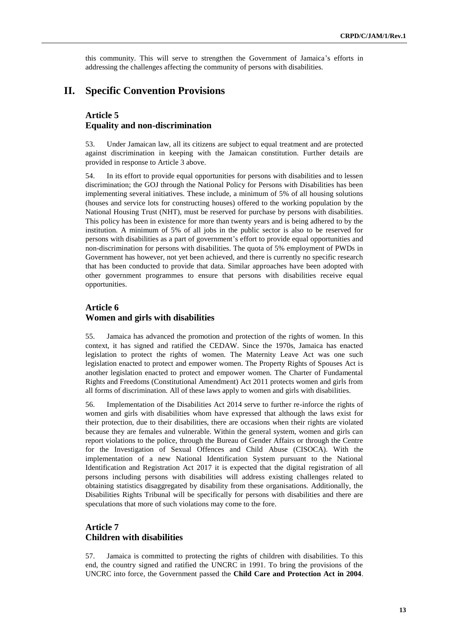this community. This will serve to strengthen the Government of Jamaica's efforts in addressing the challenges affecting the community of persons with disabilities.

# **II. Specific Convention Provisions**

## **Article 5 Equality and non-discrimination**

53. Under Jamaican law, all its citizens are subject to equal treatment and are protected against discrimination in keeping with the Jamaican constitution. Further details are provided in response to Article 3 above.

54. In its effort to provide equal opportunities for persons with disabilities and to lessen discrimination; the GOJ through the National Policy for Persons with Disabilities has been implementing several initiatives. These include, a minimum of 5% of all housing solutions (houses and service lots for constructing houses) offered to the working population by the National Housing Trust (NHT), must be reserved for purchase by persons with disabilities. This policy has been in existence for more than twenty years and is being adhered to by the institution. A minimum of 5% of all jobs in the public sector is also to be reserved for persons with disabilities as a part of government's effort to provide equal opportunities and non-discrimination for persons with disabilities. The quota of 5% employment of PWDs in Government has however, not yet been achieved, and there is currently no specific research that has been conducted to provide that data. Similar approaches have been adopted with other government programmes to ensure that persons with disabilities receive equal opportunities.

## **Article 6 Women and girls with disabilities**

55. Jamaica has advanced the promotion and protection of the rights of women. In this context, it has signed and ratified the CEDAW. Since the 1970s, Jamaica has enacted legislation to protect the rights of women. The Maternity Leave Act was one such legislation enacted to protect and empower women. The Property Rights of Spouses Act is another legislation enacted to protect and empower women. The Charter of Fundamental Rights and Freedoms (Constitutional Amendment) Act 2011 protects women and girls from all forms of discrimination. All of these laws apply to women and girls with disabilities.

56. Implementation of the Disabilities Act 2014 serve to further re-inforce the rights of women and girls with disabilities whom have expressed that although the laws exist for their protection, due to their disabilities, there are occasions when their rights are violated because they are females and vulnerable. Within the general system, women and girls can report violations to the police, through the Bureau of Gender Affairs or through the Centre for the Investigation of Sexual Offences and Child Abuse (CISOCA). With the implementation of a new National Identification System pursuant to the National Identification and Registration Act 2017 it is expected that the digital registration of all persons including persons with disabilities will address existing challenges related to obtaining statistics disaggregated by disability from these organisations. Additionally, the Disabilities Rights Tribunal will be specifically for persons with disabilities and there are speculations that more of such violations may come to the fore.

# **Article 7 Children with disabilities**

57. Jamaica is committed to protecting the rights of children with disabilities. To this end, the country signed and ratified the UNCRC in 1991. To bring the provisions of the UNCRC into force, the Government passed the **Child Care and Protection Act in 2004**.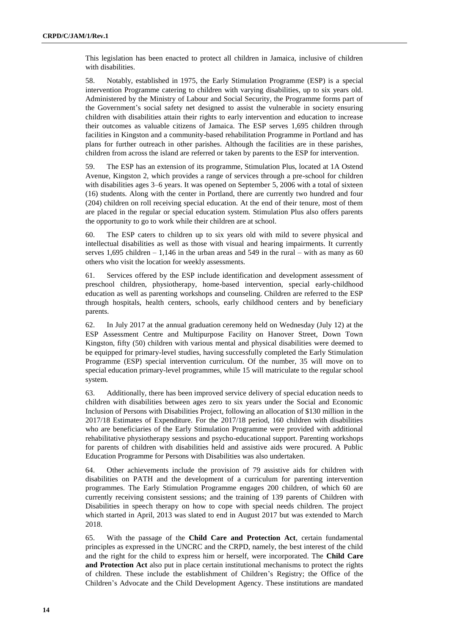This legislation has been enacted to protect all children in Jamaica, inclusive of children with disabilities.

58. Notably, established in 1975, the Early Stimulation Programme (ESP) is a special intervention Programme catering to children with varying disabilities, up to six years old. Administered by the Ministry of Labour and Social Security, the Programme forms part of the Government's social safety net designed to assist the vulnerable in society ensuring children with disabilities attain their rights to early intervention and education to increase their outcomes as valuable citizens of Jamaica. The ESP serves 1,695 children through facilities in Kingston and a community-based rehabilitation Programme in Portland and has plans for further outreach in other parishes. Although the facilities are in these parishes, children from across the island are referred or taken by parents to the ESP for intervention.

59. The ESP has an extension of its programme, Stimulation Plus, located at 1A Ostend Avenue, Kingston 2, which provides a range of services through a pre-school for children with disabilities ages 3–6 years. It was opened on September 5, 2006 with a total of sixteen (16) students. Along with the center in Portland, there are currently two hundred and four (204) children on roll receiving special education. At the end of their tenure, most of them are placed in the regular or special education system. Stimulation Plus also offers parents the opportunity to go to work while their children are at school.

60. The ESP caters to children up to six years old with mild to severe physical and intellectual disabilities as well as those with visual and hearing impairments. It currently serves 1,695 children – 1,146 in the urban areas and 549 in the rural – with as many as 60 others who visit the location for weekly assessments.

61. Services offered by the ESP include identification and development assessment of preschool children, physiotherapy, home-based intervention, special early-childhood education as well as parenting workshops and counseling. Children are referred to the ESP through hospitals, health centers, schools, early childhood centers and by beneficiary parents.

62. In July 2017 at the annual graduation ceremony held on Wednesday (July 12) at the ESP Assessment Centre and Multipurpose Facility on Hanover Street, Down Town Kingston, fifty (50) children with various mental and physical disabilities were deemed to be equipped for primary-level studies, having successfully completed the Early Stimulation Programme (ESP) special intervention curriculum. Of the number, 35 will move on to special education primary-level programmes, while 15 will matriculate to the regular school system.

63. Additionally, there has been improved service delivery of special education needs to children with disabilities between ages zero to six years under the Social and Economic Inclusion of Persons with Disabilities Project, following an allocation of \$130 million in the 2017/18 Estimates of Expenditure. For the 2017/18 period, 160 children with disabilities who are beneficiaries of the Early Stimulation Programme were provided with additional rehabilitative physiotherapy sessions and psycho-educational support. Parenting workshops for parents of children with disabilities held and assistive aids were procured. A Public Education Programme for Persons with Disabilities was also undertaken.

64. Other achievements include the provision of 79 assistive aids for children with disabilities on PATH and the development of a curriculum for parenting intervention programmes. The Early Stimulation Programme engages 200 children, of which 60 are currently receiving consistent sessions; and the training of 139 parents of Children with Disabilities in speech therapy on how to cope with special needs children. The project which started in April, 2013 was slated to end in August 2017 but was extended to March 2018.

65. With the passage of the **Child Care and Protection Act**, certain fundamental principles as expressed in the UNCRC and the CRPD, namely, the best interest of the child and the right for the child to express him or herself, were incorporated. The **Child Care and Protection Act** also put in place certain institutional mechanisms to protect the rights of children. These include the establishment of Children's Registry; the Office of the Children's Advocate and the Child Development Agency. These institutions are mandated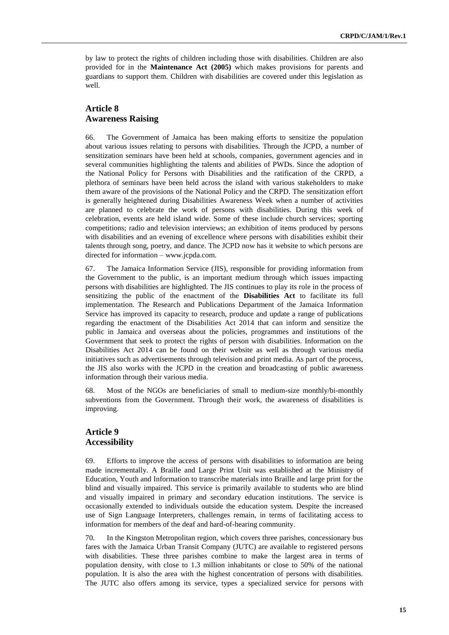by law to protect the rights of children including those with disabilities. Children are also provided for in the **Maintenance Act (2005)** which makes provisions for parents and guardians to support them. Children with disabilities are covered under this legislation as well.

#### **Article 8 Awareness Raising**

66. The Government of Jamaica has been making efforts to sensitize the population about various issues relating to persons with disabilities. Through the JCPD, a number of sensitization seminars have been held at schools, companies, government agencies and in several communities highlighting the talents and abilities of PWDs. Since the adoption of the National Policy for Persons with Disabilities and the ratification of the CRPD, a plethora of seminars have been held across the island with various stakeholders to make them aware of the provisions of the National Policy and the CRPD. The sensitization effort is generally heightened during Disabilities Awareness Week when a number of activities are planned to celebrate the work of persons with disabilities. During this week of celebration, events are held island wide. Some of these include church services; sporting competitions; radio and television interviews; an exhibition of items produced by persons with disabilities and an evening of excellence where persons with disabilities exhibit their talents through song, poetry, and dance. The JCPD now has it website to which persons are directed for information – www.jcpda.com.

67. The Jamaica Information Service (JIS), responsible for providing information from the Government to the public, is an important medium through which issues impacting persons with disabilities are highlighted. The JIS continues to play its role in the process of sensitizing the public of the enactment of the **Disabilities Act** to facilitate its full implementation. The Research and Publications Department of the Jamaica Information Service has improved its capacity to research, produce and update a range of publications regarding the enactment of the Disabilities Act 2014 that can inform and sensitize the public in Jamaica and overseas about the policies, programmes and institutions of the Government that seek to protect the rights of person with disabilities. Information on the Disabilities Act 2014 can be found on their website as well as through various media initiatives such as advertisements through television and print media. As part of the process, the JIS also works with the JCPD in the creation and broadcasting of public awareness information through their various media.

68. Most of the NGOs are beneficiaries of small to medium-size monthly/bi-monthly subventions from the Government. Through their work, the awareness of disabilities is improving.

#### **Article 9 Accessibility**

69. Efforts to improve the access of persons with disabilities to information are being made incrementally. A Braille and Large Print Unit was established at the Ministry of Education, Youth and Information to transcribe materials into Braille and large print for the blind and visually impaired. This service is primarily available to students who are blind and visually impaired in primary and secondary education institutions. The service is occasionally extended to individuals outside the education system. Despite the increased use of Sign Language Interpreters, challenges remain, in terms of facilitating access to information for members of the deaf and hard-of-hearing community.

70. In the Kingston Metropolitan region, which covers three parishes, concessionary bus fares with the Jamaica Urban Transit Company (JUTC) are available to registered persons with disabilities. These three parishes combine to make the largest area in terms of population density, with close to 1.3 million inhabitants or close to 50% of the national population. It is also the area with the highest concentration of persons with disabilities. The JUTC also offers among its service, types a specialized service for persons with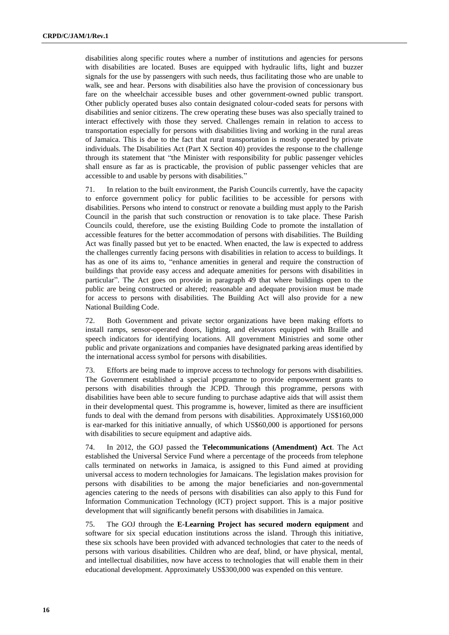disabilities along specific routes where a number of institutions and agencies for persons with disabilities are located. Buses are equipped with hydraulic lifts, light and buzzer signals for the use by passengers with such needs, thus facilitating those who are unable to walk, see and hear. Persons with disabilities also have the provision of concessionary bus fare on the wheelchair accessible buses and other government-owned public transport. Other publicly operated buses also contain designated colour-coded seats for persons with disabilities and senior citizens. The crew operating these buses was also specially trained to interact effectively with those they served. Challenges remain in relation to access to transportation especially for persons with disabilities living and working in the rural areas of Jamaica. This is due to the fact that rural transportation is mostly operated by private individuals. The Disabilities Act (Part X Section 40) provides the response to the challenge through its statement that "the Minister with responsibility for public passenger vehicles shall ensure as far as is practicable, the provision of public passenger vehicles that are accessible to and usable by persons with disabilities."

71. In relation to the built environment, the Parish Councils currently, have the capacity to enforce government policy for public facilities to be accessible for persons with disabilities. Persons who intend to construct or renovate a building must apply to the Parish Council in the parish that such construction or renovation is to take place. These Parish Councils could, therefore, use the existing Building Code to promote the installation of accessible features for the better accommodation of persons with disabilities. The Building Act was finally passed but yet to be enacted. When enacted, the law is expected to address the challenges currently facing persons with disabilities in relation to access to buildings. It has as one of its aims to, "enhance amenities in general and require the construction of buildings that provide easy access and adequate amenities for persons with disabilities in particular". The Act goes on provide in paragraph 49 that where buildings open to the public are being constructed or altered; reasonable and adequate provision must be made for access to persons with disabilities. The Building Act will also provide for a new National Building Code.

72. Both Government and private sector organizations have been making efforts to install ramps, sensor-operated doors, lighting, and elevators equipped with Braille and speech indicators for identifying locations. All government Ministries and some other public and private organizations and companies have designated parking areas identified by the international access symbol for persons with disabilities.

73. Efforts are being made to improve access to technology for persons with disabilities. The Government established a special programme to provide empowerment grants to persons with disabilities through the JCPD. Through this programme, persons with disabilities have been able to secure funding to purchase adaptive aids that will assist them in their developmental quest. This programme is, however, limited as there are insufficient funds to deal with the demand from persons with disabilities. Approximately US\$160,000 is ear-marked for this initiative annually, of which US\$60,000 is apportioned for persons with disabilities to secure equipment and adaptive aids.

74. In 2012, the GOJ passed the **Telecommunications (Amendment) Act**. The Act established the Universal Service Fund where a percentage of the proceeds from telephone calls terminated on networks in Jamaica, is assigned to this Fund aimed at providing universal access to modern technologies for Jamaicans. The legislation makes provision for persons with disabilities to be among the major beneficiaries and non-governmental agencies catering to the needs of persons with disabilities can also apply to this Fund for Information Communication Technology (ICT) project support. This is a major positive development that will significantly benefit persons with disabilities in Jamaica.

75. The GOJ through the **E-Learning Project has secured modern equipment** and software for six special education institutions across the island. Through this initiative, these six schools have been provided with advanced technologies that cater to the needs of persons with various disabilities. Children who are deaf, blind, or have physical, mental, and intellectual disabilities, now have access to technologies that will enable them in their educational development. Approximately US\$300,000 was expended on this venture.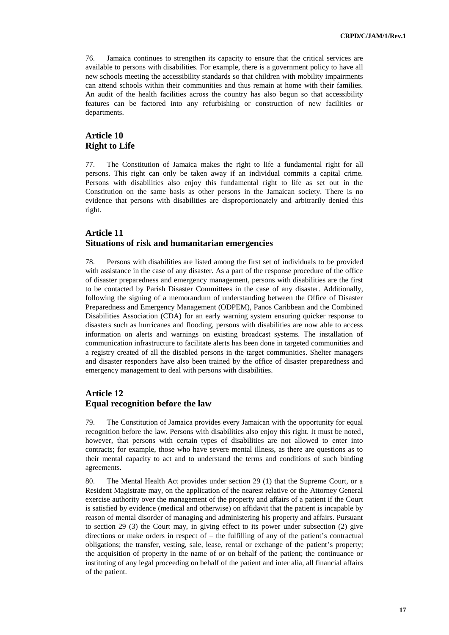76. Jamaica continues to strengthen its capacity to ensure that the critical services are available to persons with disabilities. For example, there is a government policy to have all new schools meeting the accessibility standards so that children with mobility impairments can attend schools within their communities and thus remain at home with their families. An audit of the health facilities across the country has also begun so that accessibility features can be factored into any refurbishing or construction of new facilities or departments.

# **Article 10 Right to Life**

77. The Constitution of Jamaica makes the right to life a fundamental right for all persons. This right can only be taken away if an individual commits a capital crime. Persons with disabilities also enjoy this fundamental right to life as set out in the Constitution on the same basis as other persons in the Jamaican society. There is no evidence that persons with disabilities are disproportionately and arbitrarily denied this right.

## **Article 11 Situations of risk and humanitarian emergencies**

78. Persons with disabilities are listed among the first set of individuals to be provided with assistance in the case of any disaster. As a part of the response procedure of the office of disaster preparedness and emergency management, persons with disabilities are the first to be contacted by Parish Disaster Committees in the case of any disaster. Additionally, following the signing of a memorandum of understanding between the Office of Disaster Preparedness and Emergency Management (ODPEM), Panos Caribbean and the Combined Disabilities Association (CDA) for an early warning system ensuring quicker response to disasters such as hurricanes and flooding, persons with disabilities are now able to access information on alerts and warnings on existing broadcast systems. The installation of communication infrastructure to facilitate alerts has been done in targeted communities and a registry created of all the disabled persons in the target communities. Shelter managers and disaster responders have also been trained by the office of disaster preparedness and emergency management to deal with persons with disabilities.

# **Article 12 Equal recognition before the law**

79. The Constitution of Jamaica provides every Jamaican with the opportunity for equal recognition before the law. Persons with disabilities also enjoy this right. It must be noted, however, that persons with certain types of disabilities are not allowed to enter into contracts; for example, those who have severe mental illness, as there are questions as to their mental capacity to act and to understand the terms and conditions of such binding agreements.

80. The Mental Health Act provides under section 29 (1) that the Supreme Court, or a Resident Magistrate may, on the application of the nearest relative or the Attorney General exercise authority over the management of the property and affairs of a patient if the Court is satisfied by evidence (medical and otherwise) on affidavit that the patient is incapable by reason of mental disorder of managing and administering his property and affairs. Pursuant to section 29 (3) the Court may, in giving effect to its power under subsection (2) give directions or make orders in respect of – the fulfilling of any of the patient's contractual obligations; the transfer, vesting, sale, lease, rental or exchange of the patient's property; the acquisition of property in the name of or on behalf of the patient; the continuance or instituting of any legal proceeding on behalf of the patient and inter alia, all financial affairs of the patient.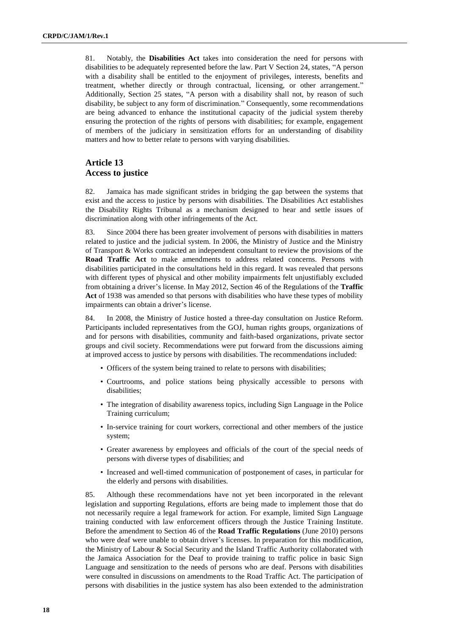81. Notably, the **Disabilities Act** takes into consideration the need for persons with disabilities to be adequately represented before the law. Part V Section 24, states, "A person with a disability shall be entitled to the enjoyment of privileges, interests, benefits and treatment, whether directly or through contractual, licensing, or other arrangement." Additionally, Section 25 states, "A person with a disability shall not, by reason of such disability, be subject to any form of discrimination." Consequently, some recommendations are being advanced to enhance the institutional capacity of the judicial system thereby ensuring the protection of the rights of persons with disabilities; for example, engagement of members of the judiciary in sensitization efforts for an understanding of disability matters and how to better relate to persons with varying disabilities.

## **Article 13 Access to justice**

82. Jamaica has made significant strides in bridging the gap between the systems that exist and the access to justice by persons with disabilities. The Disabilities Act establishes the Disability Rights Tribunal as a mechanism designed to hear and settle issues of discrimination along with other infringements of the Act.

83. Since 2004 there has been greater involvement of persons with disabilities in matters related to justice and the judicial system. In 2006, the Ministry of Justice and the Ministry of Transport & Works contracted an independent consultant to review the provisions of the **Road Traffic Act** to make amendments to address related concerns. Persons with disabilities participated in the consultations held in this regard. It was revealed that persons with different types of physical and other mobility impairments felt unjustifiably excluded from obtaining a driver's license. In May 2012, Section 46 of the Regulations of the **Traffic Act** of 1938 was amended so that persons with disabilities who have these types of mobility impairments can obtain a driver's license.

84. In 2008, the Ministry of Justice hosted a three-day consultation on Justice Reform. Participants included representatives from the GOJ, human rights groups, organizations of and for persons with disabilities, community and faith-based organizations, private sector groups and civil society. Recommendations were put forward from the discussions aiming at improved access to justice by persons with disabilities. The recommendations included:

- Officers of the system being trained to relate to persons with disabilities;
- Courtrooms, and police stations being physically accessible to persons with disabilities;
- The integration of disability awareness topics, including Sign Language in the Police Training curriculum;
- In-service training for court workers, correctional and other members of the justice system;
- Greater awareness by employees and officials of the court of the special needs of persons with diverse types of disabilities; and
- Increased and well-timed communication of postponement of cases, in particular for the elderly and persons with disabilities.

85. Although these recommendations have not yet been incorporated in the relevant legislation and supporting Regulations, efforts are being made to implement those that do not necessarily require a legal framework for action. For example, limited Sign Language training conducted with law enforcement officers through the Justice Training Institute. Before the amendment to Section 46 of the **Road Traffic Regulations** (June 2010) persons who were deaf were unable to obtain driver's licenses. In preparation for this modification, the Ministry of Labour & Social Security and the Island Traffic Authority collaborated with the Jamaica Association for the Deaf to provide training to traffic police in basic Sign Language and sensitization to the needs of persons who are deaf. Persons with disabilities were consulted in discussions on amendments to the Road Traffic Act. The participation of persons with disabilities in the justice system has also been extended to the administration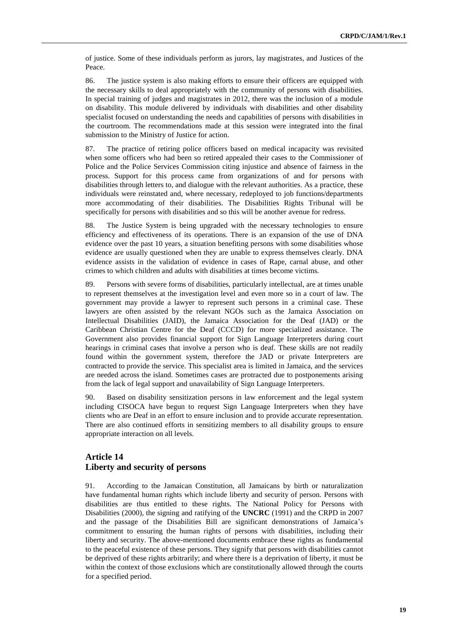of justice. Some of these individuals perform as jurors, lay magistrates, and Justices of the Peace.

86. The justice system is also making efforts to ensure their officers are equipped with the necessary skills to deal appropriately with the community of persons with disabilities. In special training of judges and magistrates in 2012, there was the inclusion of a module on disability. This module delivered by individuals with disabilities and other disability specialist focused on understanding the needs and capabilities of persons with disabilities in the courtroom. The recommendations made at this session were integrated into the final submission to the Ministry of Justice for action.

87. The practice of retiring police officers based on medical incapacity was revisited when some officers who had been so retired appealed their cases to the Commissioner of Police and the Police Services Commission citing injustice and absence of fairness in the process. Support for this process came from organizations of and for persons with disabilities through letters to, and dialogue with the relevant authorities. As a practice, these individuals were reinstated and, where necessary, redeployed to job functions/departments more accommodating of their disabilities. The Disabilities Rights Tribunal will be specifically for persons with disabilities and so this will be another avenue for redress.

88. The Justice System is being upgraded with the necessary technologies to ensure efficiency and effectiveness of its operations. There is an expansion of the use of DNA evidence over the past 10 years, a situation benefiting persons with some disabilities whose evidence are usually questioned when they are unable to express themselves clearly. DNA evidence assists in the validation of evidence in cases of Rape, carnal abuse, and other crimes to which children and adults with disabilities at times become victims.

89. Persons with severe forms of disabilities, particularly intellectual, are at times unable to represent themselves at the investigation level and even more so in a court of law. The government may provide a lawyer to represent such persons in a criminal case. These lawyers are often assisted by the relevant NGOs such as the Jamaica Association on Intellectual Disabilities (JAID), the Jamaica Association for the Deaf (JAD) or the Caribbean Christian Centre for the Deaf (CCCD) for more specialized assistance. The Government also provides financial support for Sign Language Interpreters during court hearings in criminal cases that involve a person who is deaf. These skills are not readily found within the government system, therefore the JAD or private Interpreters are contracted to provide the service. This specialist area is limited in Jamaica, and the services are needed across the island. Sometimes cases are protracted due to postponements arising from the lack of legal support and unavailability of Sign Language Interpreters.

90. Based on disability sensitization persons in law enforcement and the legal system including CISOCA have begun to request Sign Language Interpreters when they have clients who are Deaf in an effort to ensure inclusion and to provide accurate representation. There are also continued efforts in sensitizing members to all disability groups to ensure appropriate interaction on all levels.

## **Article 14 Liberty and security of persons**

91. According to the Jamaican Constitution, all Jamaicans by birth or naturalization have fundamental human rights which include liberty and security of person. Persons with disabilities are thus entitled to these rights. The National Policy for Persons with Disabilities (2000), the signing and ratifying of the **UNCRC** (1991) and the CRPD in 2007 and the passage of the Disabilities Bill are significant demonstrations of Jamaica's commitment to ensuring the human rights of persons with disabilities, including their liberty and security. The above-mentioned documents embrace these rights as fundamental to the peaceful existence of these persons. They signify that persons with disabilities cannot be deprived of these rights arbitrarily; and where there is a deprivation of liberty, it must be within the context of those exclusions which are constitutionally allowed through the courts for a specified period.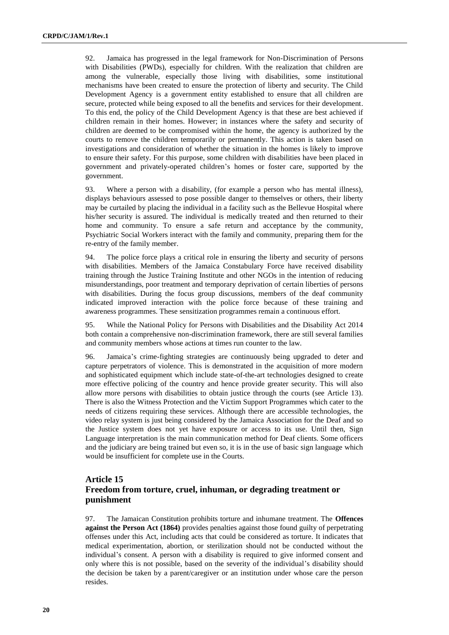92. Jamaica has progressed in the legal framework for Non-Discrimination of Persons with Disabilities (PWDs), especially for children. With the realization that children are among the vulnerable, especially those living with disabilities, some institutional mechanisms have been created to ensure the protection of liberty and security. The Child Development Agency is a government entity established to ensure that all children are secure, protected while being exposed to all the benefits and services for their development. To this end, the policy of the Child Development Agency is that these are best achieved if children remain in their homes. However; in instances where the safety and security of children are deemed to be compromised within the home, the agency is authorized by the courts to remove the children temporarily or permanently. This action is taken based on investigations and consideration of whether the situation in the homes is likely to improve to ensure their safety. For this purpose, some children with disabilities have been placed in government and privately-operated children's homes or foster care, supported by the government.

93. Where a person with a disability, (for example a person who has mental illness), displays behaviours assessed to pose possible danger to themselves or others, their liberty may be curtailed by placing the individual in a facility such as the Bellevue Hospital where his/her security is assured. The individual is medically treated and then returned to their home and community. To ensure a safe return and acceptance by the community, Psychiatric Social Workers interact with the family and community, preparing them for the re-entry of the family member.

94. The police force plays a critical role in ensuring the liberty and security of persons with disabilities. Members of the Jamaica Constabulary Force have received disability training through the Justice Training Institute and other NGOs in the intention of reducing misunderstandings, poor treatment and temporary deprivation of certain liberties of persons with disabilities. During the focus group discussions, members of the deaf community indicated improved interaction with the police force because of these training and awareness programmes. These sensitization programmes remain a continuous effort.

95. While the National Policy for Persons with Disabilities and the Disability Act 2014 both contain a comprehensive non-discrimination framework, there are still several families and community members whose actions at times run counter to the law.

96. Jamaica's crime-fighting strategies are continuously being upgraded to deter and capture perpetrators of violence. This is demonstrated in the acquisition of more modern and sophisticated equipment which include state-of-the-art technologies designed to create more effective policing of the country and hence provide greater security. This will also allow more persons with disabilities to obtain justice through the courts (see Article 13). There is also the Witness Protection and the Victim Support Programmes which cater to the needs of citizens requiring these services. Although there are accessible technologies, the video relay system is just being considered by the Jamaica Association for the Deaf and so the Justice system does not yet have exposure or access to its use. Until then, Sign Language interpretation is the main communication method for Deaf clients. Some officers and the judiciary are being trained but even so, it is in the use of basic sign language which would be insufficient for complete use in the Courts.

# **Article 15 Freedom from torture, cruel, inhuman, or degrading treatment or punishment**

97. The Jamaican Constitution prohibits torture and inhumane treatment. The **Offences against the Person Act (1864)** provides penalties against those found guilty of perpetrating offenses under this Act, including acts that could be considered as torture. It indicates that medical experimentation, abortion, or sterilization should not be conducted without the individual's consent. A person with a disability is required to give informed consent and only where this is not possible, based on the severity of the individual's disability should the decision be taken by a parent/caregiver or an institution under whose care the person resides.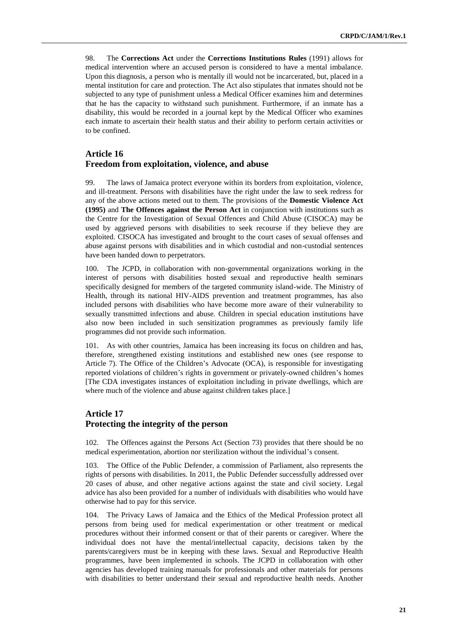98. The **Corrections Act** under the **Corrections Institutions Rules** (1991) allows for medical intervention where an accused person is considered to have a mental imbalance. Upon this diagnosis, a person who is mentally ill would not be incarcerated, but, placed in a mental institution for care and protection. The Act also stipulates that inmates should not be subjected to any type of punishment unless a Medical Officer examines him and determines that he has the capacity to withstand such punishment. Furthermore, if an inmate has a disability, this would be recorded in a journal kept by the Medical Officer who examines each inmate to ascertain their health status and their ability to perform certain activities or to be confined.

# **Article 16 Freedom from exploitation, violence, and abuse**

99. The laws of Jamaica protect everyone within its borders from exploitation, violence, and ill-treatment. Persons with disabilities have the right under the law to seek redress for any of the above actions meted out to them. The provisions of the **Domestic Violence Act (1995)** and **The Offences against the Person Act** in conjunction with institutions such as the Centre for the Investigation of Sexual Offences and Child Abuse (CISOCA) may be used by aggrieved persons with disabilities to seek recourse if they believe they are exploited. CISOCA has investigated and brought to the court cases of sexual offenses and abuse against persons with disabilities and in which custodial and non-custodial sentences have been handed down to perpetrators.

100. The JCPD, in collaboration with non-governmental organizations working in the interest of persons with disabilities hosted sexual and reproductive health seminars specifically designed for members of the targeted community island-wide. The Ministry of Health, through its national HIV-AIDS prevention and treatment programmes, has also included persons with disabilities who have become more aware of their vulnerability to sexually transmitted infections and abuse. Children in special education institutions have also now been included in such sensitization programmes as previously family life programmes did not provide such information.

101. As with other countries, Jamaica has been increasing its focus on children and has, therefore, strengthened existing institutions and established new ones (see response to Article 7). The Office of the Children's Advocate (OCA), is responsible for investigating reported violations of children's rights in government or privately-owned children's homes [The CDA investigates instances of exploitation including in private dwellings, which are where much of the violence and abuse against children takes place.]

#### **Article 17 Protecting the integrity of the person**

102. The Offences against the Persons Act (Section 73) provides that there should be no medical experimentation, abortion nor sterilization without the individual's consent.

103. The Office of the Public Defender, a commission of Parliament, also represents the rights of persons with disabilities. In 2011, the Public Defender successfully addressed over 20 cases of abuse, and other negative actions against the state and civil society. Legal advice has also been provided for a number of individuals with disabilities who would have otherwise had to pay for this service.

104. The Privacy Laws of Jamaica and the Ethics of the Medical Profession protect all persons from being used for medical experimentation or other treatment or medical procedures without their informed consent or that of their parents or caregiver. Where the individual does not have the mental/intellectual capacity, decisions taken by the parents/caregivers must be in keeping with these laws. Sexual and Reproductive Health programmes, have been implemented in schools. The JCPD in collaboration with other agencies has developed training manuals for professionals and other materials for persons with disabilities to better understand their sexual and reproductive health needs. Another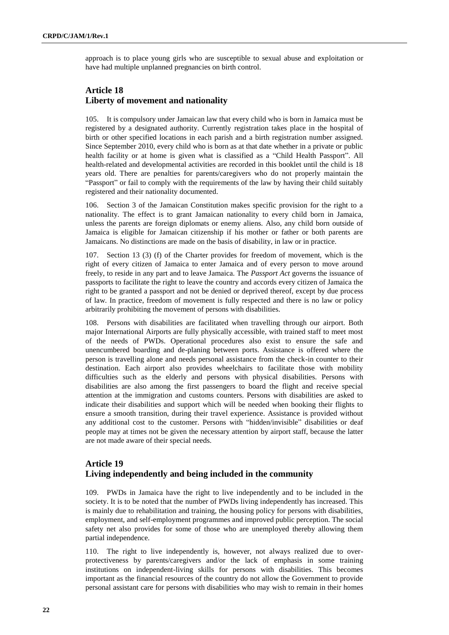approach is to place young girls who are susceptible to sexual abuse and exploitation or have had multiple unplanned pregnancies on birth control.

## **Article 18 Liberty of movement and nationality**

105. It is compulsory under Jamaican law that every child who is born in Jamaica must be registered by a designated authority. Currently registration takes place in the hospital of birth or other specified locations in each parish and a birth registration number assigned. Since September 2010, every child who is born as at that date whether in a private or public health facility or at home is given what is classified as a "Child Health Passport". All health-related and developmental activities are recorded in this booklet until the child is 18 years old. There are penalties for parents/caregivers who do not properly maintain the "Passport" or fail to comply with the requirements of the law by having their child suitably registered and their nationality documented.

106. Section 3 of the Jamaican Constitution makes specific provision for the right to a nationality. The effect is to grant Jamaican nationality to every child born in Jamaica, unless the parents are foreign diplomats or enemy aliens. Also, any child born outside of Jamaica is eligible for Jamaican citizenship if his mother or father or both parents are Jamaicans. No distinctions are made on the basis of disability, in law or in practice.

107. Section 13 (3) (f) of the Charter provides for freedom of movement, which is the right of every citizen of Jamaica to enter Jamaica and of every person to move around freely, to reside in any part and to leave Jamaica. The *Passport Act* governs the issuance of passports to facilitate the right to leave the country and accords every citizen of Jamaica the right to be granted a passport and not be denied or deprived thereof, except by due process of law. In practice, freedom of movement is fully respected and there is no law or policy arbitrarily prohibiting the movement of persons with disabilities.

108. Persons with disabilities are facilitated when travelling through our airport. Both major International Airports are fully physically accessible, with trained staff to meet most of the needs of PWDs. Operational procedures also exist to ensure the safe and unencumbered boarding and de-planing between ports. Assistance is offered where the person is travelling alone and needs personal assistance from the check-in counter to their destination. Each airport also provides wheelchairs to facilitate those with mobility difficulties such as the elderly and persons with physical disabilities. Persons with disabilities are also among the first passengers to board the flight and receive special attention at the immigration and customs counters. Persons with disabilities are asked to indicate their disabilities and support which will be needed when booking their flights to ensure a smooth transition, during their travel experience. Assistance is provided without any additional cost to the customer. Persons with "hidden/invisible" disabilities or deaf people may at times not be given the necessary attention by airport staff, because the latter are not made aware of their special needs.

# **Article 19 Living independently and being included in the community**

109. PWDs in Jamaica have the right to live independently and to be included in the society. It is to be noted that the number of PWDs living independently has increased. This is mainly due to rehabilitation and training, the housing policy for persons with disabilities, employment, and self-employment programmes and improved public perception. The social safety net also provides for some of those who are unemployed thereby allowing them partial independence.

110. The right to live independently is, however, not always realized due to overprotectiveness by parents/caregivers and/or the lack of emphasis in some training institutions on independent-living skills for persons with disabilities. This becomes important as the financial resources of the country do not allow the Government to provide personal assistant care for persons with disabilities who may wish to remain in their homes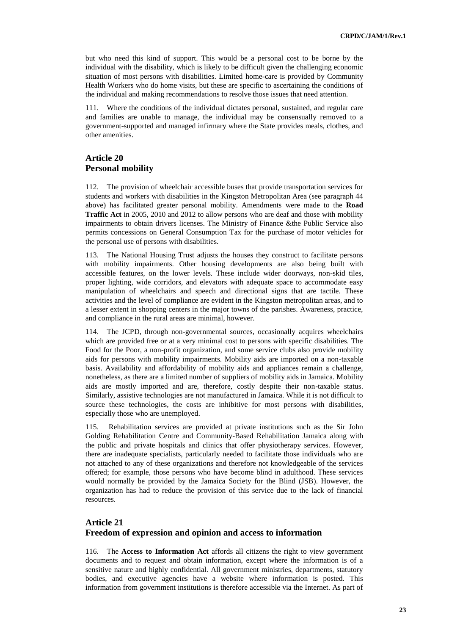but who need this kind of support. This would be a personal cost to be borne by the individual with the disability, which is likely to be difficult given the challenging economic situation of most persons with disabilities. Limited home-care is provided by Community Health Workers who do home visits, but these are specific to ascertaining the conditions of the individual and making recommendations to resolve those issues that need attention.

111. Where the conditions of the individual dictates personal, sustained, and regular care and families are unable to manage, the individual may be consensually removed to a government-supported and managed infirmary where the State provides meals, clothes, and other amenities.

## **Article 20 Personal mobility**

112. The provision of wheelchair accessible buses that provide transportation services for students and workers with disabilities in the Kingston Metropolitan Area (see paragraph 44 above) has facilitated greater personal mobility. Amendments were made to the **Road Traffic Act** in 2005, 2010 and 2012 to allow persons who are deaf and those with mobility impairments to obtain drivers licenses. The Ministry of Finance &the Public Service also permits concessions on General Consumption Tax for the purchase of motor vehicles for the personal use of persons with disabilities.

113. The National Housing Trust adjusts the houses they construct to facilitate persons with mobility impairments. Other housing developments are also being built with accessible features, on the lower levels. These include wider doorways, non-skid tiles, proper lighting, wide corridors, and elevators with adequate space to accommodate easy manipulation of wheelchairs and speech and directional signs that are tactile. These activities and the level of compliance are evident in the Kingston metropolitan areas, and to a lesser extent in shopping centers in the major towns of the parishes. Awareness, practice, and compliance in the rural areas are minimal, however.

114. The JCPD, through non-governmental sources, occasionally acquires wheelchairs which are provided free or at a very minimal cost to persons with specific disabilities. The Food for the Poor, a non-profit organization, and some service clubs also provide mobility aids for persons with mobility impairments. Mobility aids are imported on a non-taxable basis. Availability and affordability of mobility aids and appliances remain a challenge, nonetheless, as there are a limited number of suppliers of mobility aids in Jamaica. Mobility aids are mostly imported and are, therefore, costly despite their non-taxable status. Similarly, assistive technologies are not manufactured in Jamaica. While it is not difficult to source these technologies, the costs are inhibitive for most persons with disabilities, especially those who are unemployed.

115. Rehabilitation services are provided at private institutions such as the Sir John Golding Rehabilitation Centre and Community-Based Rehabilitation Jamaica along with the public and private hospitals and clinics that offer physiotherapy services. However, there are inadequate specialists, particularly needed to facilitate those individuals who are not attached to any of these organizations and therefore not knowledgeable of the services offered; for example, those persons who have become blind in adulthood. These services would normally be provided by the Jamaica Society for the Blind (JSB). However, the organization has had to reduce the provision of this service due to the lack of financial resources.

# **Article 21 Freedom of expression and opinion and access to information**

116. The **Access to Information Act** affords all citizens the right to view government documents and to request and obtain information, except where the information is of a sensitive nature and highly confidential. All government ministries, departments, statutory bodies, and executive agencies have a website where information is posted. This information from government institutions is therefore accessible via the Internet. As part of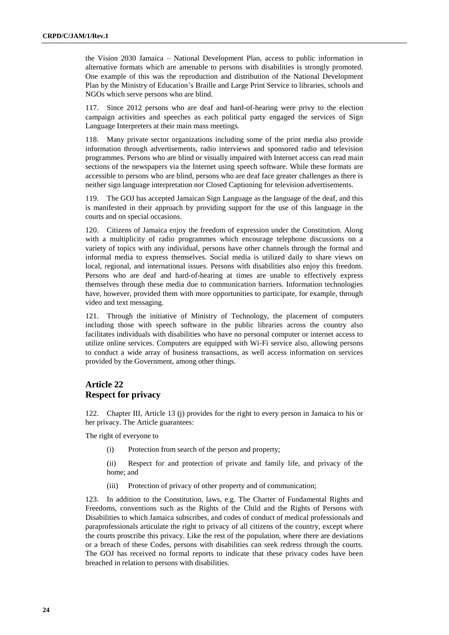the Vision 2030 Jamaica – National Development Plan, access to public information in alternative formats which are amenable to persons with disabilities is strongly promoted. One example of this was the reproduction and distribution of the National Development Plan by the Ministry of Education's Braille and Large Print Service to libraries, schools and NGOs which serve persons who are blind.

117. Since 2012 persons who are deaf and hard-of-hearing were privy to the election campaign activities and speeches as each political party engaged the services of Sign Language Interpreters at their main mass meetings.

118. Many private sector organizations including some of the print media also provide information through advertisements, radio interviews and sponsored radio and television programmes. Persons who are blind or visually impaired with Internet access can read main sections of the newspapers via the Internet using speech software. While these formats are accessible to persons who are blind, persons who are deaf face greater challenges as there is neither sign language interpretation nor Closed Captioning for television advertisements.

119. The GOJ has accepted Jamaican Sign Language as the language of the deaf, and this is manifested in their approach by providing support for the use of this language in the courts and on special occasions.

120. Citizens of Jamaica enjoy the freedom of expression under the Constitution. Along with a multiplicity of radio programmes which encourage telephone discussions on a variety of topics with any individual, persons have other channels through the formal and informal media to express themselves. Social media is utilized daily to share views on local, regional, and international issues. Persons with disabilities also enjoy this freedom. Persons who are deaf and hard-of-hearing at times are unable to effectively express themselves through these media due to communication barriers. Information technologies have, however, provided them with more opportunities to participate, for example, through video and text messaging.

121. Through the initiative of Ministry of Technology, the placement of computers including those with speech software in the public libraries across the country also facilitates individuals with disabilities who have no personal computer or internet access to utilize online services. Computers are equipped with Wi-Fi service also, allowing persons to conduct a wide array of business transactions, as well access information on services provided by the Government, among other things.

## **Article 22 Respect for privacy**

122. Chapter III, Article 13 (j) provides for the right to every person in Jamaica to his or her privacy. The Article guarantees:

The right of everyone to

(i) Protection from search of the person and property;

(ii) Respect for and protection of private and family life, and privacy of the home; and

(iii) Protection of privacy of other property and of communication;

123. In addition to the Constitution, laws, e.g. The Charter of Fundamental Rights and Freedoms, conventions such as the Rights of the Child and the Rights of Persons with Disabilities to which Jamaica subscribes, and codes of conduct of medical professionals and paraprofessionals articulate the right to privacy of all citizens of the country, except where the courts proscribe this privacy. Like the rest of the population, where there are deviations or a breach of these Codes, persons with disabilities can seek redress through the courts. The GOJ has received no formal reports to indicate that these privacy codes have been breached in relation to persons with disabilities.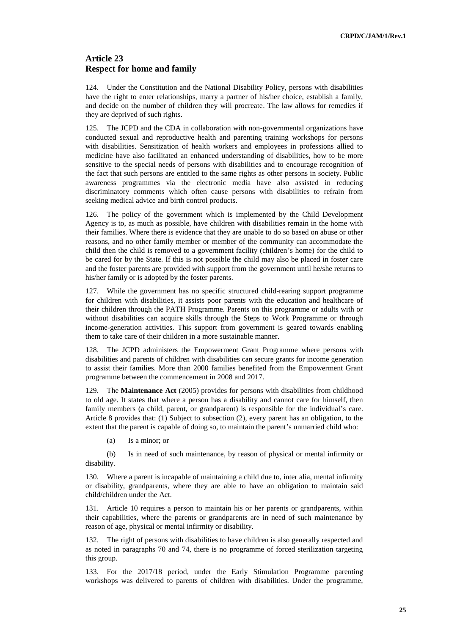#### **Article 23 Respect for home and family**

124. Under the Constitution and the National Disability Policy, persons with disabilities have the right to enter relationships, marry a partner of his/her choice, establish a family, and decide on the number of children they will procreate. The law allows for remedies if they are deprived of such rights.

125. The JCPD and the CDA in collaboration with non-governmental organizations have conducted sexual and reproductive health and parenting training workshops for persons with disabilities. Sensitization of health workers and employees in professions allied to medicine have also facilitated an enhanced understanding of disabilities, how to be more sensitive to the special needs of persons with disabilities and to encourage recognition of the fact that such persons are entitled to the same rights as other persons in society. Public awareness programmes via the electronic media have also assisted in reducing discriminatory comments which often cause persons with disabilities to refrain from seeking medical advice and birth control products.

126. The policy of the government which is implemented by the Child Development Agency is to, as much as possible, have children with disabilities remain in the home with their families. Where there is evidence that they are unable to do so based on abuse or other reasons, and no other family member or member of the community can accommodate the child then the child is removed to a government facility (children's home) for the child to be cared for by the State. If this is not possible the child may also be placed in foster care and the foster parents are provided with support from the government until he/she returns to his/her family or is adopted by the foster parents.

127. While the government has no specific structured child-rearing support programme for children with disabilities, it assists poor parents with the education and healthcare of their children through the PATH Programme. Parents on this programme or adults with or without disabilities can acquire skills through the Steps to Work Programme or through income-generation activities. This support from government is geared towards enabling them to take care of their children in a more sustainable manner.

128. The JCPD administers the Empowerment Grant Programme where persons with disabilities and parents of children with disabilities can secure grants for income generation to assist their families. More than 2000 families benefited from the Empowerment Grant programme between the commencement in 2008 and 2017.

129. The **Maintenance Act** (2005) provides for persons with disabilities from childhood to old age. It states that where a person has a disability and cannot care for himself, then family members (a child, parent, or grandparent) is responsible for the individual's care. Article 8 provides that: (1) Subject to subsection (2), every parent has an obligation, to the extent that the parent is capable of doing so, to maintain the parent's unmarried child who:

(a) Is a minor; or

(b) Is in need of such maintenance, by reason of physical or mental infirmity or disability.

130. Where a parent is incapable of maintaining a child due to, inter alia, mental infirmity or disability, grandparents, where they are able to have an obligation to maintain said child/children under the Act.

131. Article 10 requires a person to maintain his or her parents or grandparents, within their capabilities, where the parents or grandparents are in need of such maintenance by reason of age, physical or mental infirmity or disability.

132. The right of persons with disabilities to have children is also generally respected and as noted in paragraphs 70 and 74, there is no programme of forced sterilization targeting this group.

133. For the 2017/18 period, under the Early Stimulation Programme parenting workshops was delivered to parents of children with disabilities. Under the programme,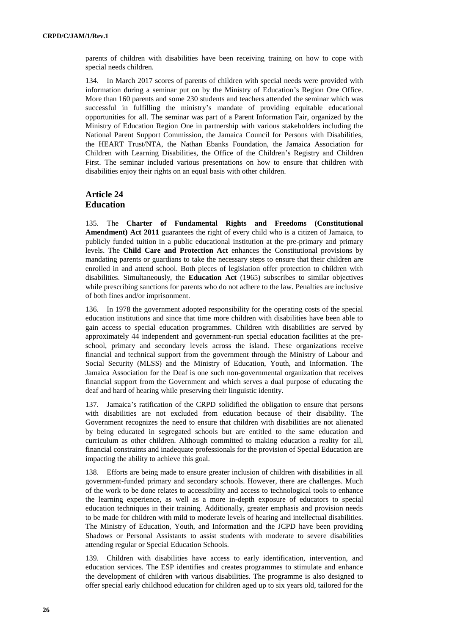parents of children with disabilities have been receiving training on how to cope with special needs children.

134. In March 2017 scores of parents of children with special needs were provided with information during a seminar put on by the Ministry of Education's Region One Office. More than 160 parents and some 230 students and teachers attended the seminar which was successful in fulfilling the ministry's mandate of providing equitable educational opportunities for all. The seminar was part of a Parent Information Fair, organized by the Ministry of Education Region One in partnership with various stakeholders including the National Parent Support Commission, the Jamaica Council for Persons with Disabilities, the HEART Trust/NTA, the Nathan Ebanks Foundation, the Jamaica Association for Children with Learning Disabilities, the Office of the Children's Registry and Children First. The seminar included various presentations on how to ensure that children with disabilities enjoy their rights on an equal basis with other children.

#### **Article 24 Education**

135. The **Charter of Fundamental Rights and Freedoms (Constitutional Amendment) Act 2011** guarantees the right of every child who is a citizen of Jamaica, to publicly funded tuition in a public educational institution at the pre-primary and primary levels. The **Child Care and Protection Act** enhances the Constitutional provisions by mandating parents or guardians to take the necessary steps to ensure that their children are enrolled in and attend school. Both pieces of legislation offer protection to children with disabilities. Simultaneously, the **Education Act** (1965) subscribes to similar objectives while prescribing sanctions for parents who do not adhere to the law. Penalties are inclusive of both fines and/or imprisonment.

136. In 1978 the government adopted responsibility for the operating costs of the special education institutions and since that time more children with disabilities have been able to gain access to special education programmes. Children with disabilities are served by approximately 44 independent and government-run special education facilities at the preschool, primary and secondary levels across the island. These organizations receive financial and technical support from the government through the Ministry of Labour and Social Security (MLSS) and the Ministry of Education, Youth, and Information. The Jamaica Association for the Deaf is one such non-governmental organization that receives financial support from the Government and which serves a dual purpose of educating the deaf and hard of hearing while preserving their linguistic identity.

137. Jamaica's ratification of the CRPD solidified the obligation to ensure that persons with disabilities are not excluded from education because of their disability. The Government recognizes the need to ensure that children with disabilities are not alienated by being educated in segregated schools but are entitled to the same education and curriculum as other children. Although committed to making education a reality for all, financial constraints and inadequate professionals for the provision of Special Education are impacting the ability to achieve this goal.

138. Efforts are being made to ensure greater inclusion of children with disabilities in all government-funded primary and secondary schools. However, there are challenges. Much of the work to be done relates to accessibility and access to technological tools to enhance the learning experience, as well as a more in-depth exposure of educators to special education techniques in their training. Additionally, greater emphasis and provision needs to be made for children with mild to moderate levels of hearing and intellectual disabilities. The Ministry of Education, Youth, and Information and the JCPD have been providing Shadows or Personal Assistants to assist students with moderate to severe disabilities attending regular or Special Education Schools.

139. Children with disabilities have access to early identification, intervention, and education services. The ESP identifies and creates programmes to stimulate and enhance the development of children with various disabilities. The programme is also designed to offer special early childhood education for children aged up to six years old, tailored for the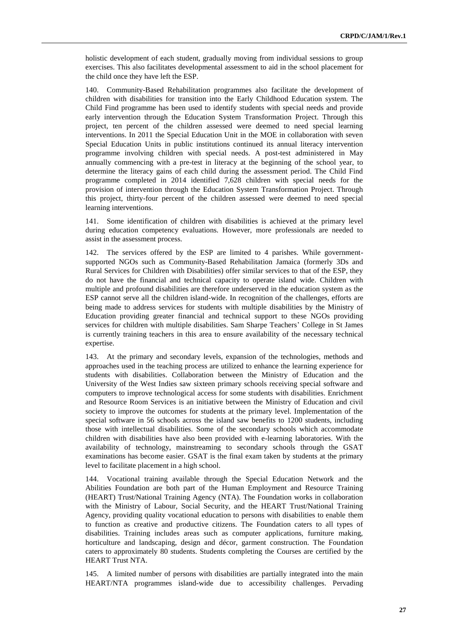holistic development of each student, gradually moving from individual sessions to group exercises. This also facilitates developmental assessment to aid in the school placement for the child once they have left the ESP.

140. Community-Based Rehabilitation programmes also facilitate the development of children with disabilities for transition into the Early Childhood Education system. The Child Find programme has been used to identify students with special needs and provide early intervention through the Education System Transformation Project. Through this project, ten percent of the children assessed were deemed to need special learning interventions. In 2011 the Special Education Unit in the MOE in collaboration with seven Special Education Units in public institutions continued its annual literacy intervention programme involving children with special needs. A post-test administered in May annually commencing with a pre-test in literacy at the beginning of the school year, to determine the literacy gains of each child during the assessment period. The Child Find programme completed in 2014 identified 7,628 children with special needs for the provision of intervention through the Education System Transformation Project. Through this project, thirty-four percent of the children assessed were deemed to need special learning interventions.

141. Some identification of children with disabilities is achieved at the primary level during education competency evaluations. However, more professionals are needed to assist in the assessment process.

142. The services offered by the ESP are limited to 4 parishes. While governmentsupported NGOs such as Community-Based Rehabilitation Jamaica (formerly 3Ds and Rural Services for Children with Disabilities) offer similar services to that of the ESP, they do not have the financial and technical capacity to operate island wide. Children with multiple and profound disabilities are therefore underserved in the education system as the ESP cannot serve all the children island-wide. In recognition of the challenges, efforts are being made to address services for students with multiple disabilities by the Ministry of Education providing greater financial and technical support to these NGOs providing services for children with multiple disabilities. Sam Sharpe Teachers' College in St James is currently training teachers in this area to ensure availability of the necessary technical expertise.

143. At the primary and secondary levels, expansion of the technologies, methods and approaches used in the teaching process are utilized to enhance the learning experience for students with disabilities. Collaboration between the Ministry of Education and the University of the West Indies saw sixteen primary schools receiving special software and computers to improve technological access for some students with disabilities. Enrichment and Resource Room Services is an initiative between the Ministry of Education and civil society to improve the outcomes for students at the primary level. Implementation of the special software in 56 schools across the island saw benefits to 1200 students, including those with intellectual disabilities. Some of the secondary schools which accommodate children with disabilities have also been provided with e-learning laboratories. With the availability of technology, mainstreaming to secondary schools through the GSAT examinations has become easier. GSAT is the final exam taken by students at the primary level to facilitate placement in a high school.

144. Vocational training available through the Special Education Network and the Abilities Foundation are both part of the Human Employment and Resource Training (HEART) Trust/National Training Agency (NTA). The Foundation works in collaboration with the Ministry of Labour, Social Security, and the HEART Trust/National Training Agency, providing quality vocational education to persons with disabilities to enable them to function as creative and productive citizens. The Foundation caters to all types of disabilities. Training includes areas such as computer applications, furniture making, horticulture and landscaping, design and décor, garment construction. The Foundation caters to approximately 80 students. Students completing the Courses are certified by the HEART Trust NTA.

145. A limited number of persons with disabilities are partially integrated into the main HEART/NTA programmes island-wide due to accessibility challenges. Pervading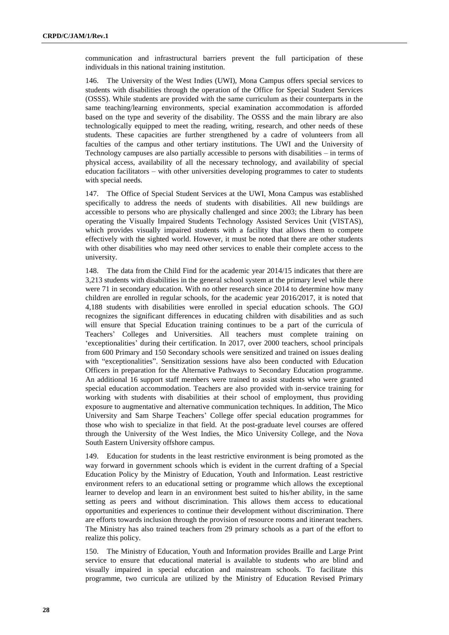communication and infrastructural barriers prevent the full participation of these individuals in this national training institution.

146. The University of the West Indies (UWI), Mona Campus offers special services to students with disabilities through the operation of the Office for Special Student Services (OSSS). While students are provided with the same curriculum as their counterparts in the same teaching/learning environments, special examination accommodation is afforded based on the type and severity of the disability. The OSSS and the main library are also technologically equipped to meet the reading, writing, research, and other needs of these students. These capacities are further strengthened by a cadre of volunteers from all faculties of the campus and other tertiary institutions. The UWI and the University of Technology campuses are also partially accessible to persons with disabilities – in terms of physical access, availability of all the necessary technology, and availability of special education facilitators – with other universities developing programmes to cater to students with special needs.

147. The Office of Special Student Services at the UWI, Mona Campus was established specifically to address the needs of students with disabilities. All new buildings are accessible to persons who are physically challenged and since 2003; the Library has been operating the Visually Impaired Students Technology Assisted Services Unit (VISTAS), which provides visually impaired students with a facility that allows them to compete effectively with the sighted world. However, it must be noted that there are other students with other disabilities who may need other services to enable their complete access to the university.

148. The data from the Child Find for the academic year 2014/15 indicates that there are 3,213 students with disabilities in the general school system at the primary level while there were 71 in secondary education. With no other research since 2014 to determine how many children are enrolled in regular schools, for the academic year 2016/2017, it is noted that 4,188 students with disabilities were enrolled in special education schools. The GOJ recognizes the significant differences in educating children with disabilities and as such will ensure that Special Education training continues to be a part of the curricula of Teachers' Colleges and Universities. All teachers must complete training on 'exceptionalities' during their certification. In 2017, over 2000 teachers, school principals from 600 Primary and 150 Secondary schools were sensitized and trained on issues dealing with "exceptionalities". Sensitization sessions have also been conducted with Education Officers in preparation for the Alternative Pathways to Secondary Education programme. An additional 16 support staff members were trained to assist students who were granted special education accommodation. Teachers are also provided with in-service training for working with students with disabilities at their school of employment, thus providing exposure to augmentative and alternative communication techniques. In addition, The Mico University and Sam Sharpe Teachers' College offer special education programmes for those who wish to specialize in that field. At the post-graduate level courses are offered through the University of the West Indies, the Mico University College, and the Nova South Eastern University offshore campus.

149. Education for students in the least restrictive environment is being promoted as the way forward in government schools which is evident in the current drafting of a Special Education Policy by the Ministry of Education, Youth and Information. Least restrictive environment refers to an educational setting or programme which allows the exceptional learner to develop and learn in an environment best suited to his/her ability, in the same setting as peers and without discrimination. This allows them access to educational opportunities and experiences to continue their development without discrimination. There are efforts towards inclusion through the provision of resource rooms and itinerant teachers. The Ministry has also trained teachers from 29 primary schools as a part of the effort to realize this policy.

150. The Ministry of Education, Youth and Information provides Braille and Large Print service to ensure that educational material is available to students who are blind and visually impaired in special education and mainstream schools. To facilitate this programme, two curricula are utilized by the Ministry of Education Revised Primary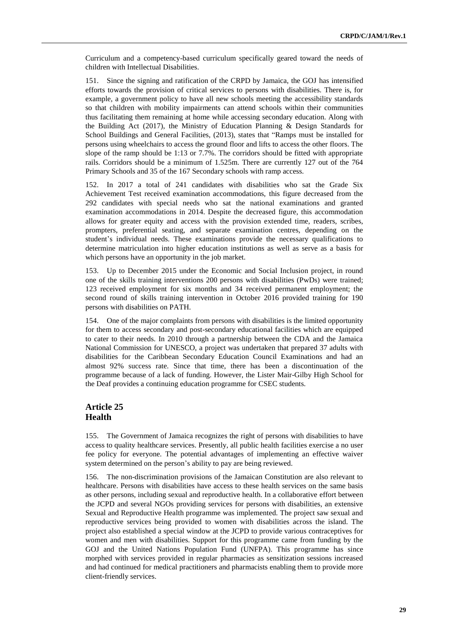Curriculum and a competency-based curriculum specifically geared toward the needs of children with Intellectual Disabilities.

151. Since the signing and ratification of the CRPD by Jamaica, the GOJ has intensified efforts towards the provision of critical services to persons with disabilities. There is, for example, a government policy to have all new schools meeting the accessibility standards so that children with mobility impairments can attend schools within their communities thus facilitating them remaining at home while accessing secondary education. Along with the Building Act (2017), the Ministry of Education Planning & Design Standards for School Buildings and General Facilities, (2013), states that "Ramps must be installed for persons using wheelchairs to access the ground floor and lifts to access the other floors. The slope of the ramp should be 1:13 or 7.7%. The corridors should be fitted with appropriate rails. Corridors should be a minimum of 1.525m. There are currently 127 out of the 764 Primary Schools and 35 of the 167 Secondary schools with ramp access.

152. In 2017 a total of 241 candidates with disabilities who sat the Grade Six Achievement Test received examination accommodations, this figure decreased from the 292 candidates with special needs who sat the national examinations and granted examination accommodations in 2014. Despite the decreased figure, this accommodation allows for greater equity and access with the provision extended time, readers, scribes, prompters, preferential seating, and separate examination centres, depending on the student's individual needs. These examinations provide the necessary qualifications to determine matriculation into higher education institutions as well as serve as a basis for which persons have an opportunity in the job market.

153. Up to December 2015 under the Economic and Social Inclusion project, in round one of the skills training interventions 200 persons with disabilities (PwDs) were trained; 123 received employment for six months and 34 received permanent employment; the second round of skills training intervention in October 2016 provided training for 190 persons with disabilities on PATH.

154. One of the major complaints from persons with disabilities is the limited opportunity for them to access secondary and post-secondary educational facilities which are equipped to cater to their needs. In 2010 through a partnership between the CDA and the Jamaica National Commission for UNESCO, a project was undertaken that prepared 37 adults with disabilities for the Caribbean Secondary Education Council Examinations and had an almost 92% success rate. Since that time, there has been a discontinuation of the programme because of a lack of funding. However, the Lister Mair-Gilby High School for the Deaf provides a continuing education programme for CSEC students.

## **Article 25 Health**

155. The Government of Jamaica recognizes the right of persons with disabilities to have access to quality healthcare services. Presently, all public health facilities exercise a no user fee policy for everyone. The potential advantages of implementing an effective waiver system determined on the person's ability to pay are being reviewed.

156. The non-discrimination provisions of the Jamaican Constitution are also relevant to healthcare. Persons with disabilities have access to these health services on the same basis as other persons, including sexual and reproductive health. In a collaborative effort between the JCPD and several NGOs providing services for persons with disabilities, an extensive Sexual and Reproductive Health programme was implemented. The project saw sexual and reproductive services being provided to women with disabilities across the island. The project also established a special window at the JCPD to provide various contraceptives for women and men with disabilities. Support for this programme came from funding by the GOJ and the United Nations Population Fund (UNFPA). This programme has since morphed with services provided in regular pharmacies as sensitization sessions increased and had continued for medical practitioners and pharmacists enabling them to provide more client-friendly services.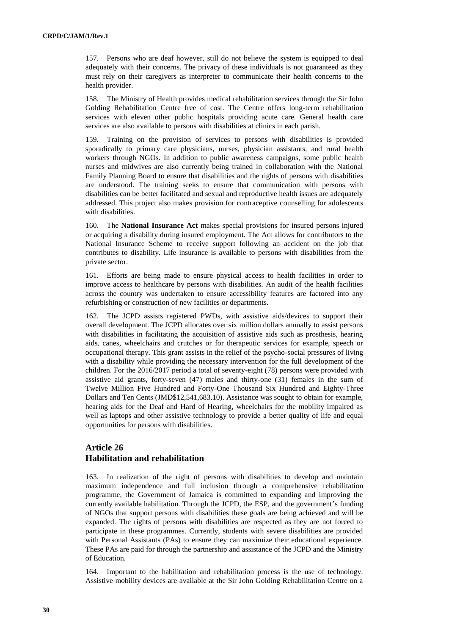157. Persons who are deaf however, still do not believe the system is equipped to deal adequately with their concerns. The privacy of these individuals is not guaranteed as they must rely on their caregivers as interpreter to communicate their health concerns to the health provider.

158. The Ministry of Health provides medical rehabilitation services through the Sir John Golding Rehabilitation Centre free of cost. The Centre offers long-term rehabilitation services with eleven other public hospitals providing acute care. General health care services are also available to persons with disabilities at clinics in each parish.

159. Training on the provision of services to persons with disabilities is provided sporadically to primary care physicians, nurses, physician assistants, and rural health workers through NGOs. In addition to public awareness campaigns, some public health nurses and midwives are also currently being trained in collaboration with the National Family Planning Board to ensure that disabilities and the rights of persons with disabilities are understood. The training seeks to ensure that communication with persons with disabilities can be better facilitated and sexual and reproductive health issues are adequately addressed. This project also makes provision for contraceptive counselling for adolescents with disabilities.

160. The **National Insurance Act** makes special provisions for insured persons injured or acquiring a disability during insured employment. The Act allows for contributors to the National Insurance Scheme to receive support following an accident on the job that contributes to disability. Life insurance is available to persons with disabilities from the private sector.

161. Efforts are being made to ensure physical access to health facilities in order to improve access to healthcare by persons with disabilities. An audit of the health facilities across the country was undertaken to ensure accessibility features are factored into any refurbishing or construction of new facilities or departments.

162. The JCPD assists registered PWDs, with assistive aids/devices to support their overall development. The JCPD allocates over six million dollars annually to assist persons with disabilities in facilitating the acquisition of assistive aids such as prosthesis, hearing aids, canes, wheelchairs and crutches or for therapeutic services for example, speech or occupational therapy. This grant assists in the relief of the psycho-social pressures of living with a disability while providing the necessary intervention for the full development of the children. For the 2016/2017 period a total of seventy-eight (78) persons were provided with assistive aid grants, forty-seven (47) males and thirty-one (31) females in the sum of Twelve Million Five Hundred and Forty-One Thousand Six Hundred and Eighty-Three Dollars and Ten Cents (JMD\$12,541,683.10). Assistance was sought to obtain for example, hearing aids for the Deaf and Hard of Hearing, wheelchairs for the mobility impaired as well as laptops and other assistive technology to provide a better quality of life and equal opportunities for persons with disabilities.

## **Article 26 Habilitation and rehabilitation**

163. In realization of the right of persons with disabilities to develop and maintain maximum independence and full inclusion through a comprehensive rehabilitation programme, the Government of Jamaica is committed to expanding and improving the currently available habilitation. Through the JCPD, the ESP, and the government's funding of NGOs that support persons with disabilities these goals are being achieved and will be expanded. The rights of persons with disabilities are respected as they are not forced to participate in these programmes. Currently, students with severe disabilities are provided with Personal Assistants (PAs) to ensure they can maximize their educational experience. These PAs are paid for through the partnership and assistance of the JCPD and the Ministry of Education.

164. Important to the habilitation and rehabilitation process is the use of technology. Assistive mobility devices are available at the Sir John Golding Rehabilitation Centre on a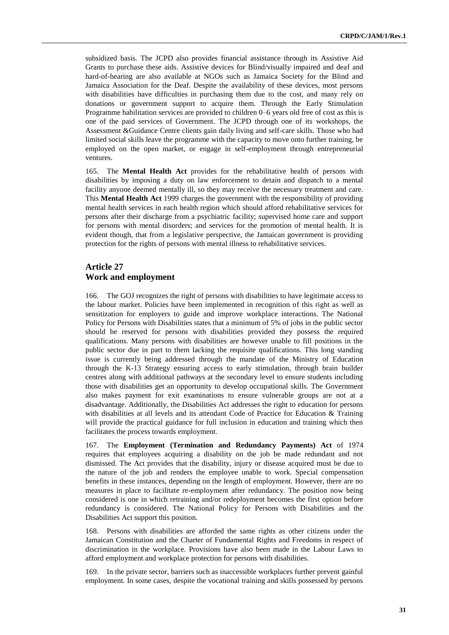subsidized basis. The JCPD also provides financial assistance through its Assistive Aid Grants to purchase these aids. Assistive devices for Blind/visually impaired and deaf and hard-of-hearing are also available at NGOs such as Jamaica Society for the Blind and Jamaica Association for the Deaf. Despite the availability of these devices, most persons with disabilities have difficulties in purchasing them due to the cost, and many rely on donations or government support to acquire them. Through the Early Stimulation Programme habilitation services are provided to children 0–6 years old free of cost as this is one of the paid services of Government. The JCPD through one of its workshops, the Assessment &Guidance Centre clients gain daily living and self-care skills. Those who had limited social skills leave the programme with the capacity to move onto further training, be employed on the open market, or engage in self-employment through entrepreneurial ventures.

165. The **Mental Health Act** provides for the rehabilitative health of persons with disabilities by imposing a duty on law enforcement to detain and dispatch to a mental facility anyone deemed mentally ill, so they may receive the necessary treatment and care. This **Mental Health Act** 1999 charges the government with the responsibility of providing mental health services in each health region which should afford rehabilitative services for persons after their discharge from a psychiatric facility; supervised home care and support for persons with mental disorders; and services for the promotion of mental health. It is evident though, that from a legislative perspective, the Jamaican government is providing protection for the rights of persons with mental illness to rehabilitative services.

## **Article 27 Work and employment**

166. The GOJ recognizes the right of persons with disabilities to have legitimate access to the labour market. Policies have been implemented in recognition of this right as well as sensitization for employers to guide and improve workplace interactions. The National Policy for Persons with Disabilities states that a minimum of 5% of jobs in the public sector should be reserved for persons with disabilities provided they possess the required qualifications. Many persons with disabilities are however unable to fill positions in the public sector due in part to them lacking the requisite qualifications. This long standing issue is currently being addressed through the mandate of the Ministry of Education through the K-13 Strategy ensuring access to early stimulation, through brain builder centres along with additional pathways at the secondary level to ensure students including those with disabilities get an opportunity to develop occupational skills. The Government also makes payment for exit examinations to ensure vulnerable groups are not at a disadvantage. Additionally, the Disabilities Act addresses the right to education for persons with disabilities at all levels and its attendant Code of Practice for Education & Training will provide the practical guidance for full inclusion in education and training which then facilitates the process towards employment.

167. The **Employment (Termination and Redundancy Payments) Act** of 1974 requires that employees acquiring a disability on the job be made redundant and not dismissed. The Act provides that the disability, injury or disease acquired must be due to the nature of the job and renders the employee unable to work. Special compensation benefits in these instances, depending on the length of employment. However, there are no measures in place to facilitate re-employment after redundancy. The position now being considered is one in which retraining and/or redeployment becomes the first option before redundancy is considered. The National Policy for Persons with Disabilities and the Disabilities Act support this position.

168. Persons with disabilities are afforded the same rights as other citizens under the Jamaican Constitution and the Charter of Fundamental Rights and Freedoms in respect of discrimination in the workplace. Provisions have also been made in the Labour Laws to afford employment and workplace protection for persons with disabilities.

169. In the private sector, barriers such as inaccessible workplaces further prevent gainful employment. In some cases, despite the vocational training and skills possessed by persons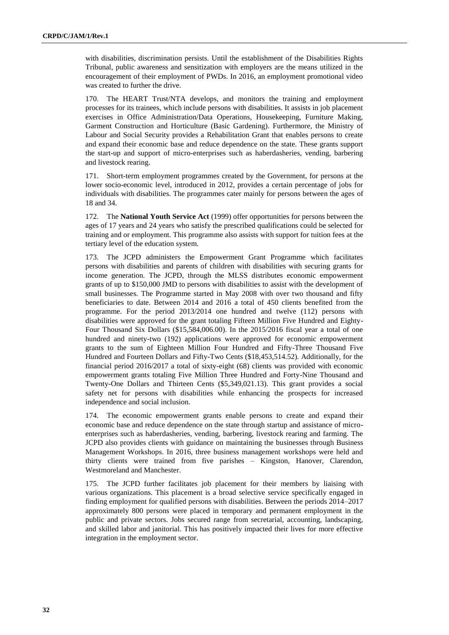with disabilities, discrimination persists. Until the establishment of the Disabilities Rights Tribunal, public awareness and sensitization with employers are the means utilized in the encouragement of their employment of PWDs. In 2016, an employment promotional video was created to further the drive.

170. The HEART Trust/NTA develops, and monitors the training and employment processes for its trainees, which include persons with disabilities. It assists in job placement exercises in Office Administration/Data Operations, Housekeeping, Furniture Making, Garment Construction and Horticulture (Basic Gardening). Furthermore, the Ministry of Labour and Social Security provides a Rehabilitation Grant that enables persons to create and expand their economic base and reduce dependence on the state. These grants support the start-up and support of micro-enterprises such as haberdasheries, vending, barbering and livestock rearing.

171. Short-term employment programmes created by the Government, for persons at the lower socio-economic level, introduced in 2012, provides a certain percentage of jobs for individuals with disabilities. The programmes cater mainly for persons between the ages of 18 and 34.

172. The **National Youth Service Act** (1999) offer opportunities for persons between the ages of 17 years and 24 years who satisfy the prescribed qualifications could be selected for training and or employment. This programme also assists with support for tuition fees at the tertiary level of the education system.

173. The JCPD administers the Empowerment Grant Programme which facilitates persons with disabilities and parents of children with disabilities with securing grants for income generation. The JCPD, through the MLSS distributes economic empowerment grants of up to \$150,000 JMD to persons with disabilities to assist with the development of small businesses. The Programme started in May 2008 with over two thousand and fifty beneficiaries to date. Between 2014 and 2016 a total of 450 clients benefited from the programme. For the period 2013/2014 one hundred and twelve (112) persons with disabilities were approved for the grant totaling Fifteen Million Five Hundred and Eighty-Four Thousand Six Dollars (\$15,584,006.00). In the 2015/2016 fiscal year a total of one hundred and ninety-two (192) applications were approved for economic empowerment grants to the sum of Eighteen Million Four Hundred and Fifty-Three Thousand Five Hundred and Fourteen Dollars and Fifty-Two Cents (\$18,453,514.52). Additionally, for the financial period 2016/2017 a total of sixty-eight (68) clients was provided with economic empowerment grants totaling Five Million Three Hundred and Forty-Nine Thousand and Twenty-One Dollars and Thirteen Cents (\$5,349,021.13). This grant provides a social safety net for persons with disabilities while enhancing the prospects for increased independence and social inclusion.

174. The economic empowerment grants enable persons to create and expand their economic base and reduce dependence on the state through startup and assistance of microenterprises such as haberdasheries, vending, barbering, livestock rearing and farming. The JCPD also provides clients with guidance on maintaining the businesses through Business Management Workshops. In 2016, three business management workshops were held and thirty clients were trained from five parishes – Kingston, Hanover, Clarendon, Westmoreland and Manchester.

175. The JCPD further facilitates job placement for their members by liaising with various organizations. This placement is a broad selective service specifically engaged in finding employment for qualified persons with disabilities. Between the periods 2014–2017 approximately 800 persons were placed in temporary and permanent employment in the public and private sectors. Jobs secured range from secretarial, accounting, landscaping, and skilled labor and janitorial. This has positively impacted their lives for more effective integration in the employment sector.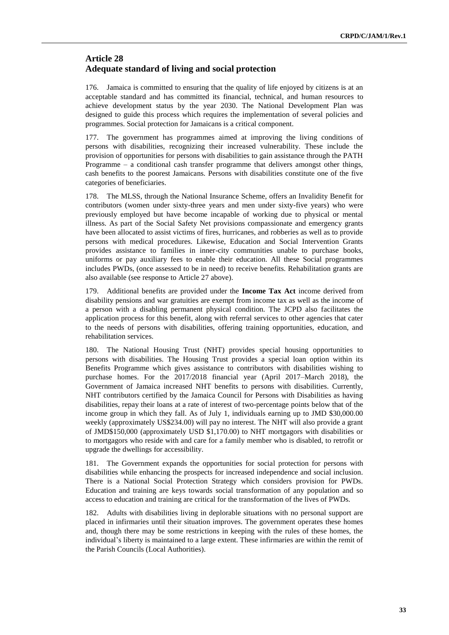## **Article 28 Adequate standard of living and social protection**

176. Jamaica is committed to ensuring that the quality of life enjoyed by citizens is at an acceptable standard and has committed its financial, technical, and human resources to achieve development status by the year 2030. The National Development Plan was designed to guide this process which requires the implementation of several policies and programmes. Social protection for Jamaicans is a critical component.

177. The government has programmes aimed at improving the living conditions of persons with disabilities, recognizing their increased vulnerability. These include the provision of opportunities for persons with disabilities to gain assistance through the PATH Programme – a conditional cash transfer programme that delivers amongst other things, cash benefits to the poorest Jamaicans. Persons with disabilities constitute one of the five categories of beneficiaries.

178. The MLSS, through the National Insurance Scheme, offers an Invalidity Benefit for contributors (women under sixty-three years and men under sixty-five years) who were previously employed but have become incapable of working due to physical or mental illness. As part of the Social Safety Net provisions compassionate and emergency grants have been allocated to assist victims of fires, hurricanes, and robberies as well as to provide persons with medical procedures. Likewise, Education and Social Intervention Grants provides assistance to families in inner-city communities unable to purchase books, uniforms or pay auxiliary fees to enable their education. All these Social programmes includes PWDs, (once assessed to be in need) to receive benefits. Rehabilitation grants are also available (see response to Article 27 above).

179. Additional benefits are provided under the **Income Tax Act** income derived from disability pensions and war gratuities are exempt from income tax as well as the income of a person with a disabling permanent physical condition. The JCPD also facilitates the application process for this benefit, along with referral services to other agencies that cater to the needs of persons with disabilities, offering training opportunities, education, and rehabilitation services.

180. The National Housing Trust (NHT) provides special housing opportunities to persons with disabilities. The Housing Trust provides a special loan option within its Benefits Programme which gives assistance to contributors with disabilities wishing to purchase homes. For the 2017/2018 financial year (April 2017–March 2018), the Government of Jamaica increased NHT benefits to persons with disabilities. Currently, NHT contributors certified by the Jamaica Council for Persons with Disabilities as having disabilities, repay their loans at a rate of interest of two-percentage points below that of the income group in which they fall. As of July 1, individuals earning up to JMD \$30,000.00 weekly (approximately US\$234.00) will pay no interest. The NHT will also provide a grant of JMD\$150,000 (approximately USD \$1,170.00) to NHT mortgagors with disabilities or to mortgagors who reside with and care for a family member who is disabled, to retrofit or upgrade the dwellings for accessibility.

181. The Government expands the opportunities for social protection for persons with disabilities while enhancing the prospects for increased independence and social inclusion. There is a National Social Protection Strategy which considers provision for PWDs. Education and training are keys towards social transformation of any population and so access to education and training are critical for the transformation of the lives of PWDs.

182. Adults with disabilities living in deplorable situations with no personal support are placed in infirmaries until their situation improves. The government operates these homes and, though there may be some restrictions in keeping with the rules of these homes, the individual's liberty is maintained to a large extent. These infirmaries are within the remit of the Parish Councils (Local Authorities).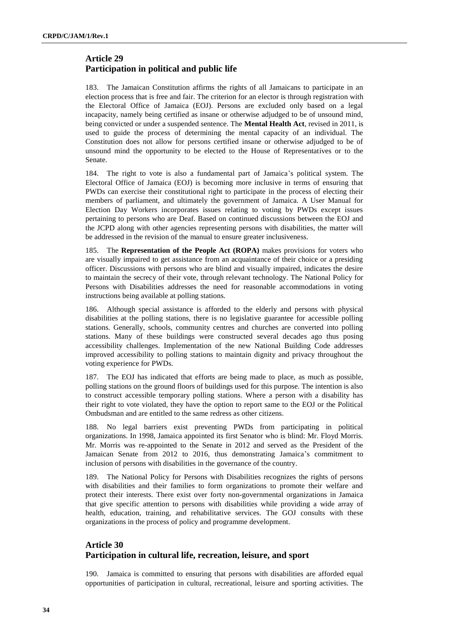# **Article 29 Participation in political and public life**

183. The Jamaican Constitution affirms the rights of all Jamaicans to participate in an election process that is free and fair. The criterion for an elector is through registration with the Electoral Office of Jamaica (EOJ). Persons are excluded only based on a legal incapacity, namely being certified as insane or otherwise adjudged to be of unsound mind, being convicted or under a suspended sentence. The **Mental Health Act**, revised in 2011, is used to guide the process of determining the mental capacity of an individual. The Constitution does not allow for persons certified insane or otherwise adjudged to be of unsound mind the opportunity to be elected to the House of Representatives or to the Senate.

184. The right to vote is also a fundamental part of Jamaica's political system. The Electoral Office of Jamaica (EOJ) is becoming more inclusive in terms of ensuring that PWDs can exercise their constitutional right to participate in the process of electing their members of parliament, and ultimately the government of Jamaica. A User Manual for Election Day Workers incorporates issues relating to voting by PWDs except issues pertaining to persons who are Deaf. Based on continued discussions between the EOJ and the JCPD along with other agencies representing persons with disabilities, the matter will be addressed in the revision of the manual to ensure greater inclusiveness.

185. The **Representation of the People Act (ROPA)** makes provisions for voters who are visually impaired to get assistance from an acquaintance of their choice or a presiding officer. Discussions with persons who are blind and visually impaired, indicates the desire to maintain the secrecy of their vote, through relevant technology. The National Policy for Persons with Disabilities addresses the need for reasonable accommodations in voting instructions being available at polling stations.

186. Although special assistance is afforded to the elderly and persons with physical disabilities at the polling stations, there is no legislative guarantee for accessible polling stations. Generally, schools, community centres and churches are converted into polling stations. Many of these buildings were constructed several decades ago thus posing accessibility challenges. Implementation of the new National Building Code addresses improved accessibility to polling stations to maintain dignity and privacy throughout the voting experience for PWDs.

187. The EOJ has indicated that efforts are being made to place, as much as possible, polling stations on the ground floors of buildings used for this purpose. The intention is also to construct accessible temporary polling stations. Where a person with a disability has their right to vote violated, they have the option to report same to the EOJ or the Political Ombudsman and are entitled to the same redress as other citizens.

188. No legal barriers exist preventing PWDs from participating in political organizations. In 1998, Jamaica appointed its first Senator who is blind: Mr. Floyd Morris. Mr. Morris was re-appointed to the Senate in 2012 and served as the President of the Jamaican Senate from 2012 to 2016, thus demonstrating Jamaica's commitment to inclusion of persons with disabilities in the governance of the country.

189. The National Policy for Persons with Disabilities recognizes the rights of persons with disabilities and their families to form organizations to promote their welfare and protect their interests. There exist over forty non-governmental organizations in Jamaica that give specific attention to persons with disabilities while providing a wide array of health, education, training, and rehabilitative services. The GOJ consults with these organizations in the process of policy and programme development.

# **Article 30 Participation in cultural life, recreation, leisure, and sport**

190. Jamaica is committed to ensuring that persons with disabilities are afforded equal opportunities of participation in cultural, recreational, leisure and sporting activities. The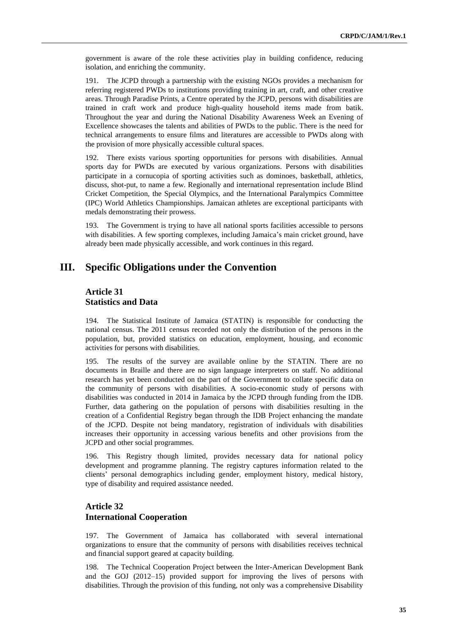government is aware of the role these activities play in building confidence, reducing isolation, and enriching the community.

191. The JCPD through a partnership with the existing NGOs provides a mechanism for referring registered PWDs to institutions providing training in art, craft, and other creative areas. Through Paradise Prints, a Centre operated by the JCPD, persons with disabilities are trained in craft work and produce high-quality household items made from batik. Throughout the year and during the National Disability Awareness Week an Evening of Excellence showcases the talents and abilities of PWDs to the public. There is the need for technical arrangements to ensure films and literatures are accessible to PWDs along with the provision of more physically accessible cultural spaces.

192. There exists various sporting opportunities for persons with disabilities. Annual sports day for PWDs are executed by various organizations. Persons with disabilities participate in a cornucopia of sporting activities such as dominoes, basketball, athletics, discuss, shot-put, to name a few. Regionally and international representation include Blind Cricket Competition, the Special Olympics, and the International Paralympics Committee (IPC) World Athletics Championships. Jamaican athletes are exceptional participants with medals demonstrating their prowess.

193. The Government is trying to have all national sports facilities accessible to persons with disabilities. A few sporting complexes, including Jamaica's main cricket ground, have already been made physically accessible, and work continues in this regard.

# **III. Specific Obligations under the Convention**

#### **Article 31 Statistics and Data**

194. The Statistical Institute of Jamaica (STATIN) is responsible for conducting the national census. The 2011 census recorded not only the distribution of the persons in the population, but, provided statistics on education, employment, housing, and economic activities for persons with disabilities.

195. The results of the survey are available online by the STATIN. There are no documents in Braille and there are no sign language interpreters on staff. No additional research has yet been conducted on the part of the Government to collate specific data on the community of persons with disabilities. A socio-economic study of persons with disabilities was conducted in 2014 in Jamaica by the JCPD through funding from the IDB. Further, data gathering on the population of persons with disabilities resulting in the creation of a Confidential Registry began through the IDB Project enhancing the mandate of the JCPD. Despite not being mandatory, registration of individuals with disabilities increases their opportunity in accessing various benefits and other provisions from the JCPD and other social programmes.

196. This Registry though limited, provides necessary data for national policy development and programme planning. The registry captures information related to the clients' personal demographics including gender, employment history, medical history, type of disability and required assistance needed.

## **Article 32 International Cooperation**

197. The Government of Jamaica has collaborated with several international organizations to ensure that the community of persons with disabilities receives technical and financial support geared at capacity building.

198. The Technical Cooperation Project between the Inter-American Development Bank and the GOJ (2012–15) provided support for improving the lives of persons with disabilities. Through the provision of this funding, not only was a comprehensive Disability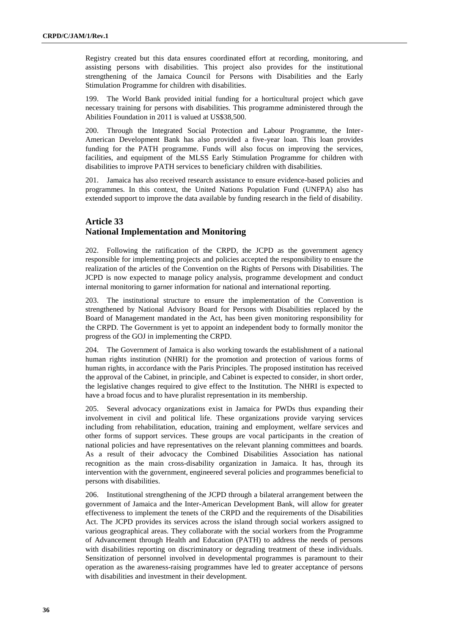Registry created but this data ensures coordinated effort at recording, monitoring, and assisting persons with disabilities. This project also provides for the institutional strengthening of the Jamaica Council for Persons with Disabilities and the Early Stimulation Programme for children with disabilities.

199. The World Bank provided initial funding for a horticultural project which gave necessary training for persons with disabilities. This programme administered through the Abilities Foundation in 2011 is valued at US\$38,500.

200. Through the Integrated Social Protection and Labour Programme, the Inter-American Development Bank has also provided a five-year loan. This loan provides funding for the PATH programme. Funds will also focus on improving the services, facilities, and equipment of the MLSS Early Stimulation Programme for children with disabilities to improve PATH services to beneficiary children with disabilities.

201. Jamaica has also received research assistance to ensure evidence-based policies and programmes. In this context, the United Nations Population Fund (UNFPA) also has extended support to improve the data available by funding research in the field of disability.

# **Article 33 National Implementation and Monitoring**

202. Following the ratification of the CRPD, the JCPD as the government agency responsible for implementing projects and policies accepted the responsibility to ensure the realization of the articles of the Convention on the Rights of Persons with Disabilities. The JCPD is now expected to manage policy analysis, programme development and conduct internal monitoring to garner information for national and international reporting.

203. The institutional structure to ensure the implementation of the Convention is strengthened by National Advisory Board for Persons with Disabilities replaced by the Board of Management mandated in the Act, has been given monitoring responsibility for the CRPD. The Government is yet to appoint an independent body to formally monitor the progress of the GOJ in implementing the CRPD.

204. The Government of Jamaica is also working towards the establishment of a national human rights institution (NHRI) for the promotion and protection of various forms of human rights, in accordance with the Paris Principles. The proposed institution has received the approval of the Cabinet, in principle, and Cabinet is expected to consider, in short order, the legislative changes required to give effect to the Institution. The NHRI is expected to have a broad focus and to have pluralist representation in its membership.

205. Several advocacy organizations exist in Jamaica for PWDs thus expanding their involvement in civil and political life. These organizations provide varying services including from rehabilitation, education, training and employment, welfare services and other forms of support services. These groups are vocal participants in the creation of national policies and have representatives on the relevant planning committees and boards. As a result of their advocacy the Combined Disabilities Association has national recognition as the main cross-disability organization in Jamaica. It has, through its intervention with the government, engineered several policies and programmes beneficial to persons with disabilities.

206. Institutional strengthening of the JCPD through a bilateral arrangement between the government of Jamaica and the Inter-American Development Bank, will allow for greater effectiveness to implement the tenets of the CRPD and the requirements of the Disabilities Act. The JCPD provides its services across the island through social workers assigned to various geographical areas. They collaborate with the social workers from the Programme of Advancement through Health and Education (PATH) to address the needs of persons with disabilities reporting on discriminatory or degrading treatment of these individuals. Sensitization of personnel involved in developmental programmes is paramount to their operation as the awareness-raising programmes have led to greater acceptance of persons with disabilities and investment in their development.